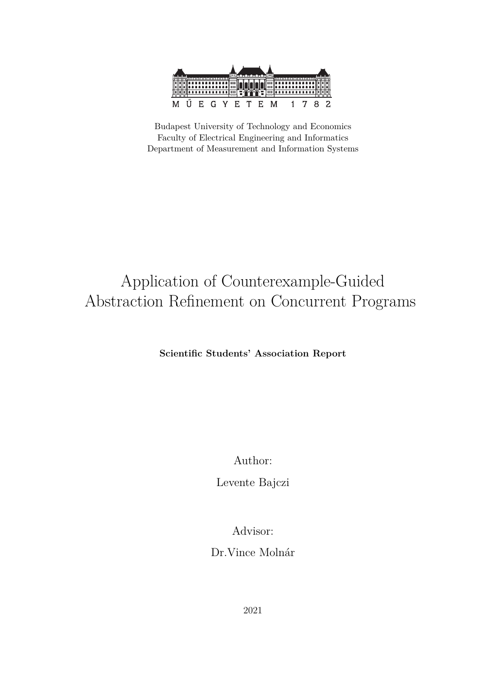

Budapest University of Technology and Economics Faculty of Electrical Engineering and Informatics Department of Measurement and Information Systems

# Application of Counterexample-Guided Abstraction Refinement on Concurrent Programs

**Scientific Students' Association Report**

Author:

Levente Bajczi

Advisor:

Dr.Vince Molnár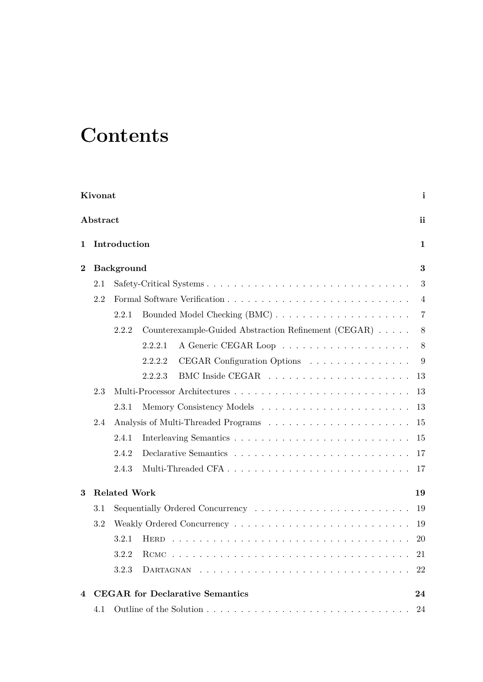# **Contents**

| Kivonat                 |          |                     |                                                      |                |  |  |  |  |  |
|-------------------------|----------|---------------------|------------------------------------------------------|----------------|--|--|--|--|--|
|                         | Abstract |                     |                                                      | ii             |  |  |  |  |  |
| 1                       |          | Introduction        |                                                      | 1              |  |  |  |  |  |
| $\boldsymbol{2}$        |          | <b>Background</b>   |                                                      | 3              |  |  |  |  |  |
|                         | 2.1      |                     |                                                      | 3              |  |  |  |  |  |
|                         | 2.2      |                     |                                                      | 4              |  |  |  |  |  |
|                         |          | 2.2.1               |                                                      | $\overline{7}$ |  |  |  |  |  |
|                         |          | 2.2.2               | Counterexample-Guided Abstraction Refinement (CEGAR) | $8\,$          |  |  |  |  |  |
|                         |          |                     | 2.2.2.1                                              | $8\,$          |  |  |  |  |  |
|                         |          |                     | 2.2.2.2<br>CEGAR Configuration Options               | 9              |  |  |  |  |  |
|                         |          |                     | 2.2.2.3                                              | 13             |  |  |  |  |  |
|                         | 2.3      |                     |                                                      | 13             |  |  |  |  |  |
|                         |          | 2.3.1               |                                                      | 13             |  |  |  |  |  |
|                         | 2.4      |                     |                                                      | 15             |  |  |  |  |  |
|                         |          | 2.4.1               |                                                      | 15             |  |  |  |  |  |
|                         |          | 2.4.2               |                                                      | 17             |  |  |  |  |  |
|                         |          | 2.4.3               |                                                      | 17             |  |  |  |  |  |
| 3                       |          | <b>Related Work</b> |                                                      | 19             |  |  |  |  |  |
|                         | $3.1\,$  |                     |                                                      | 19             |  |  |  |  |  |
|                         | 3.2      |                     | 19                                                   |                |  |  |  |  |  |
|                         |          | 3.2.1               |                                                      | 20             |  |  |  |  |  |
|                         |          | 3.2.2               |                                                      | 21             |  |  |  |  |  |
|                         |          | 3.2.3               | DARTAGNAN                                            | 22             |  |  |  |  |  |
| $\overline{\mathbf{4}}$ |          |                     | <b>CEGAR</b> for Declarative Semantics               | 24             |  |  |  |  |  |
|                         | 4.1      |                     |                                                      | 24             |  |  |  |  |  |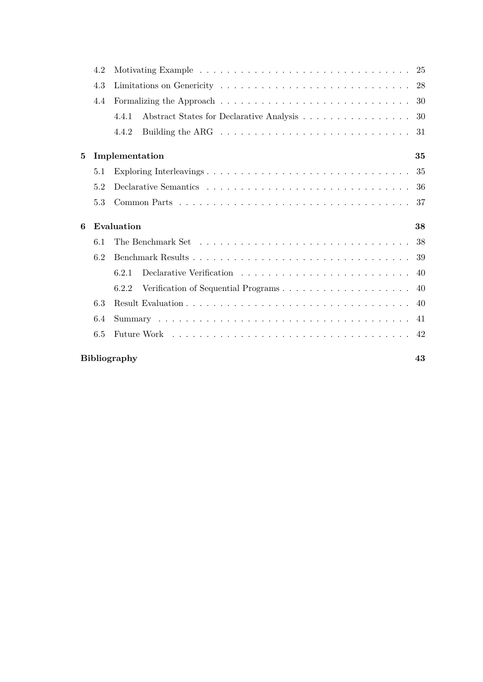|   | 4.2 |                                                                                               |     |  |  |  |  |  |
|---|-----|-----------------------------------------------------------------------------------------------|-----|--|--|--|--|--|
|   | 4.3 |                                                                                               |     |  |  |  |  |  |
|   | 4.4 |                                                                                               | 30  |  |  |  |  |  |
|   |     | Abstract States for Declarative Analysis<br>4.4.1                                             | 30  |  |  |  |  |  |
|   |     | Building the ARG $\dots \dots \dots \dots \dots \dots \dots \dots \dots \dots \dots$<br>4.4.2 | 31  |  |  |  |  |  |
| 5 |     | Implementation                                                                                | 35  |  |  |  |  |  |
|   | 5.1 | Exploring Interleavings                                                                       | 35  |  |  |  |  |  |
|   | 5.2 |                                                                                               | -36 |  |  |  |  |  |
|   | 5.3 |                                                                                               | 37  |  |  |  |  |  |
|   |     |                                                                                               |     |  |  |  |  |  |
| 6 |     | Evaluation                                                                                    | 38  |  |  |  |  |  |
|   | 6.1 | The Benchmark Set $\dots \dots \dots \dots \dots \dots \dots \dots \dots \dots \dots \dots$   | 38  |  |  |  |  |  |
|   | 6.2 |                                                                                               | 39  |  |  |  |  |  |
|   |     | 6.2.1                                                                                         | 40  |  |  |  |  |  |
|   |     | 6.2.2                                                                                         | 40  |  |  |  |  |  |
|   | 6.3 |                                                                                               | 40  |  |  |  |  |  |
|   | 6.4 |                                                                                               | 41  |  |  |  |  |  |
|   | 6.5 |                                                                                               | 42  |  |  |  |  |  |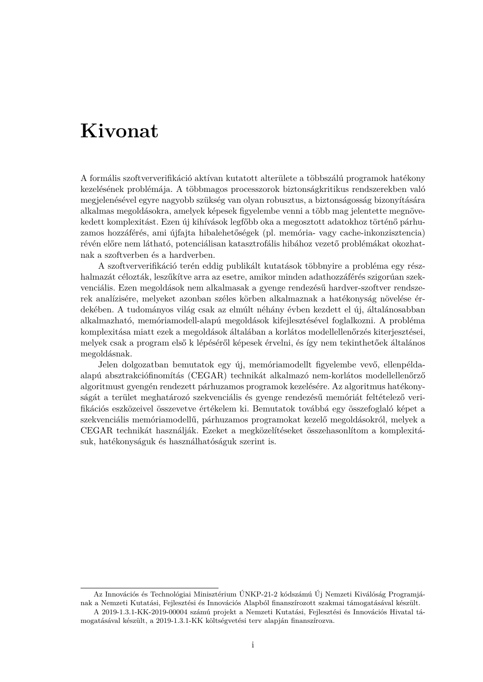# <span id="page-3-0"></span>**Kivonat**

A formális szoftververifikáció aktívan kutatott alterülete a többszálú programok hatékony kezelésének problémája. A többmagos processzorok biztonságkritikus rendszerekben való megjelenésével egyre nagyobb szükség van olyan robusztus, a biztonságosság bizonyítására alkalmas megoldásokra, amelyek képesek figyelembe venni a több mag jelentette megnövekedett komplexitást. Ezen új kihívások legfőbb oka a megosztott adatokhoz történő párhuzamos hozzáférés, ami újfajta hibalehetőségek (pl. memória- vagy cache-inkonzisztencia) révén előre nem látható, potenciálisan katasztrofális hibához vezető problémákat okozhatnak a szoftverben és a hardverben.

A szoftververifikáció terén eddig publikált kutatások többnyire a probléma egy részhalmazát célozták, leszűkítve arra az esetre, amikor minden adathozzáférés szigorúan szekvenciális. Ezen megoldások nem alkalmasak a gyenge rendezésű hardver-szoftver rendszerek analízisére, melyeket azonban széles körben alkalmaznak a hatékonyság növelése érdekében. A tudományos világ csak az elmúlt néhány évben kezdett el új, általánosabban alkalmazható, memóriamodell-alapú megoldások kifejlesztésével foglalkozni. A probléma komplexitása miatt ezek a megoldások általában a korlátos modellellenőrzés kiterjesztései, melyek csak a program első k lépéséről képesek érvelni, és így nem tekinthetőek általános megoldásnak.

Jelen dolgozatban bemutatok egy új, memóriamodellt figyelembe vevő, ellenpéldaalapú absztrakciófinomítás (CEGAR) technikát alkalmazó nem-korlátos modellellenőrző algoritmust gyengén rendezett párhuzamos programok kezelésére. Az algoritmus hatékonyságát a terület meghatározó szekvenciális és gyenge rendezésű memóriát feltételező verifikációs eszközeivel összevetve értékelem ki. Bemutatok továbbá egy összefoglaló képet a szekvenciális memóriamodellű, párhuzamos programokat kezelő megoldásokról, melyek a CEGAR technikát használják. Ezeket a megközelítéseket összehasonlítom a komplexitásuk, hatékonyságuk és használhatóságuk szerint is.

Az Innovációs és Technológiai Minisztérium ÚNKP-21-2 kódszámú Új Nemzeti Kiválóság Programjának a Nemzeti Kutatási, Fejlesztési és Innovációs Alapból finanszírozott szakmai támogatásával készült. A 2019-1.3.1-KK-2019-00004 számú projekt a Nemzeti Kutatási, Fejlesztési és Innovációs Hivatal tá-

mogatásával készült, a 2019-1.3.1-KK költségvetési terv alapján finanszírozva.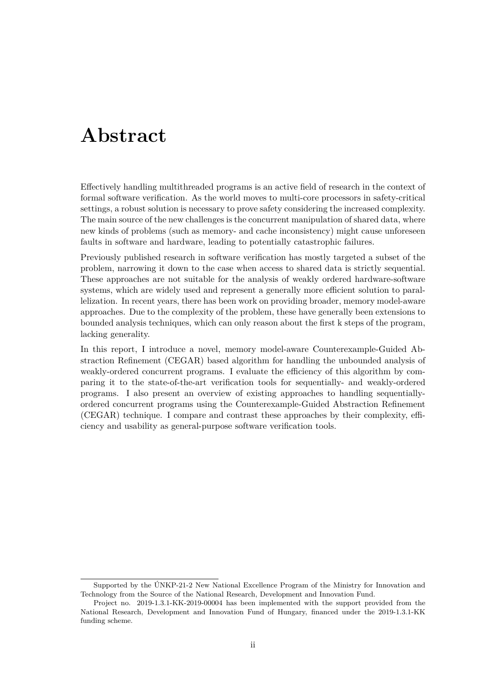## <span id="page-4-0"></span>**Abstract**

Effectively handling multithreaded programs is an active field of research in the context of formal software verification. As the world moves to multi-core processors in safety-critical settings, a robust solution is necessary to prove safety considering the increased complexity. The main source of the new challenges is the concurrent manipulation of shared data, where new kinds of problems (such as memory- and cache inconsistency) might cause unforeseen faults in software and hardware, leading to potentially catastrophic failures.

Previously published research in software verification has mostly targeted a subset of the problem, narrowing it down to the case when access to shared data is strictly sequential. These approaches are not suitable for the analysis of weakly ordered hardware-software systems, which are widely used and represent a generally more efficient solution to parallelization. In recent years, there has been work on providing broader, memory model-aware approaches. Due to the complexity of the problem, these have generally been extensions to bounded analysis techniques, which can only reason about the first k steps of the program, lacking generality.

In this report, I introduce a novel, memory model-aware Counterexample-Guided Abstraction Refinement (CEGAR) based algorithm for handling the unbounded analysis of weakly-ordered concurrent programs. I evaluate the efficiency of this algorithm by comparing it to the state-of-the-art verification tools for sequentially- and weakly-ordered programs. I also present an overview of existing approaches to handling sequentiallyordered concurrent programs using the Counterexample-Guided Abstraction Refinement (CEGAR) technique. I compare and contrast these approaches by their complexity, efficiency and usability as general-purpose software verification tools.

Supported by the ÚNKP-21-2 New National Excellence Program of the Ministry for Innovation and Technology from the Source of the National Research, Development and Innovation Fund.

Project no. 2019-1.3.1-KK-2019-00004 has been implemented with the support provided from the National Research, Development and Innovation Fund of Hungary, financed under the 2019-1.3.1-KK funding scheme.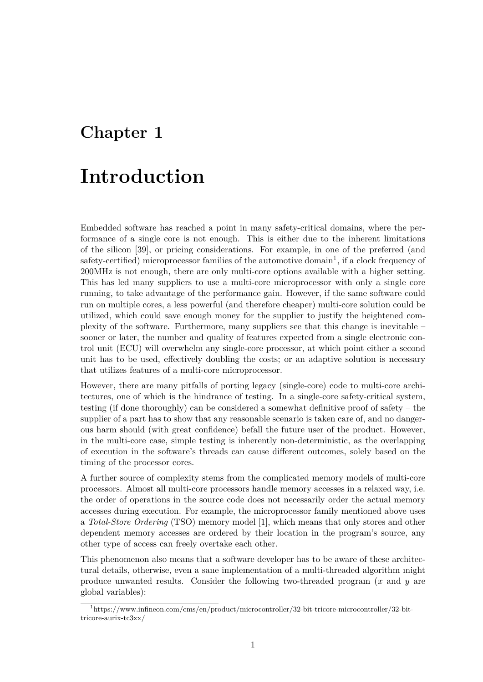## <span id="page-5-0"></span>**Chapter 1**

# **Introduction**

Embedded software has reached a point in many safety-critical domains, where the performance of a single core is not enough. This is either due to the inherent limitations of the silicon [39], or pricing considerations. For example, in one of the preferred (and safety-certified) microprocessor families of the automotive domain<sup>1</sup>, if a clock frequency of 200MHz is not enough, there are only multi-core options available with a higher setting. This has led many suppliers to use a multi-core microprocessor with only a single core running, to ta[ke a](#page-50-0)dvantage of the performance gain. However, if [th](#page-5-1)e same software could run on multiple cores, a less powerful (and therefore cheaper) multi-core solution could be utilized, which could save enough money for the supplier to justify the heightened complexity of the software. Furthermore, many suppliers see that this change is inevitable – sooner or later, the number and quality of features expected from a single electronic control unit (ECU) will overwhelm any single-core processor, at which point either a second unit has to be used, effectively doubling the costs; or an adaptive solution is necessary that utilizes features of a multi-core microprocessor.

However, there are many pitfalls of porting legacy (single-core) code to multi-core architectures, one of which is the hindrance of testing. In a single-core safety-critical system, testing (if done thoroughly) can be considered a somewhat definitive proof of safety – the supplier of a part has to show that any reasonable scenario is taken care of, and no dangerous harm should (with great confidence) befall the future user of the product. However, in the multi-core case, simple testing is inherently non-deterministic, as the overlapping of execution in the software's threads can cause different outcomes, solely based on the timing of the processor cores.

A further source of complexity stems from the complicated memory models of multi-core processors. Almost all multi-core processors handle memory accesses in a relaxed way, i.e. the order of operations in the source code does not necessarily order the actual memory accesses during execution. For example, the microprocessor family mentioned above uses a *Total-Store Ordering* (TSO) memory model [1], which means that only stores and other dependent memory accesses are ordered by their location in the program's source, any other type of access can freely overtake each other.

This phenomenon also means that a software [de](#page-47-0)veloper has to be aware of these architectural details, otherwise, even a sane implementation of a multi-threaded algorithm might produce unwanted results. Consider the following two-threaded program (*x* and *y* are global variables):

<span id="page-5-1"></span><sup>1</sup>https://www.infineon.com/cms/en/product/microcontroller/32-bit-tricore-microcontroller/32-bittricore-aurix-tc3xx/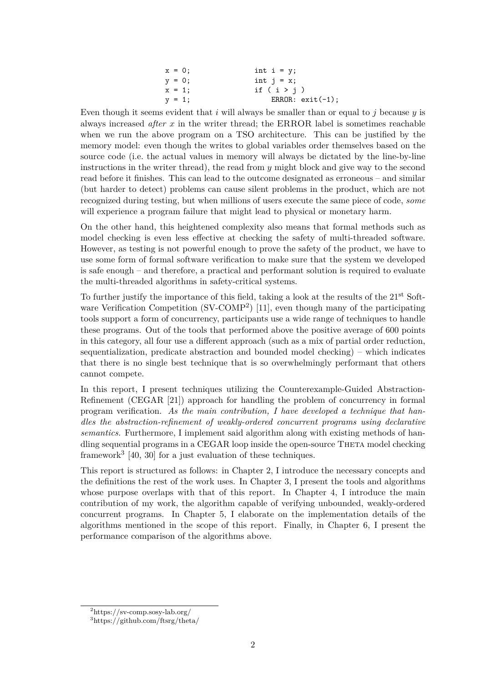| $x = 0$ ; | int $i = y$ ;      |
|-----------|--------------------|
| $y = 0;$  | int $i = x$ ;      |
| $x = 1$ ; | if $(i > j)$       |
| $y = 1;$  | ERROR: $exit(-1);$ |

Even though it seems evident that *i* will always be smaller than or equal to *j* because *y* is always increased *after x* in the writer thread; the ERROR label is sometimes reachable when we run the above program on a TSO architecture. This can be justified by the memory model: even though the writes to global variables order themselves based on the source code (i.e. the actual values in memory will always be dictated by the line-by-line instructions in the writer thread), the read from *y* might block and give way to the second read before it finishes. This can lead to the outcome designated as erroneous – and similar (but harder to detect) problems can cause silent problems in the product, which are not recognized during testing, but when millions of users execute the same piece of code, *some* will experience a program failure that might lead to physical or monetary harm.

On the other hand, this heightened complexity also means that formal methods such as model checking is even less effective at checking the safety of multi-threaded software. However, as testing is not powerful enough to prove the safety of the product, we have to use some form of formal software verification to make sure that the system we developed is safe enough – and therefore, a practical and performant solution is required to evaluate the multi-threaded algorithms in safety-critical systems.

To further justify the importance of this field, taking a look at the results of the 21<sup>st</sup> Software Verification Competition (SV-COMP<sup>2</sup>) [11], even though many of the participating tools support a form of concurrency, participants use a wide range of techniques to handle these programs. Out of the tools that performed above the positive average of 600 points in this category, all four use a different app[ro](#page-6-0)ach (such as a mix of partial order reduction, sequentialization, predicate abstraction and [bou](#page-48-0)nded model checking) – which indicates that there is no single best technique that is so overwhelmingly performant that others cannot compete.

In this report, I present techniques utilizing the Counterexample-Guided Abstraction-Refinement (CEGAR [21]) approach for handling the problem of concurrency in formal program verification. *As the main contribution, I have developed a technique that handles the abstraction-refinement of weakly-ordered concurrent programs using declarative semantics.* Furthermore, I implement said algorithm along with existing methods of handling sequential progra[ms](#page-49-0) in a CEGAR loop inside the open-source THETA model checking framework<sup>3</sup> [40, 30] for a just evaluation of these techniques.

This report is structured as follows: in Chapter 2, I introduce the necessary concepts and the definitions the rest of the work uses. In Chapter 3, I present the tools and algorithms whose pu[rp](#page-6-1)[ose](#page-50-1) [ove](#page-49-1)rlaps with that of this report. In Chapter 4, I introduce the main contribution of my work, the algorithm capable of verifying unbounded, weakly-ordered concurrent programs. In Chapter 5, I elabor[ate](#page-7-0) on the implementation details of the algorithms mentioned in the scope of this report. [F](#page-23-0)inally, in [Ch](#page-28-0)apter 6, I present the performance comparison of the algorithms above.

<sup>2</sup>https://sv-comp.sosy-lab.org/

<span id="page-6-1"></span><span id="page-6-0"></span><sup>3</sup>https://github.com/ftsrg/theta/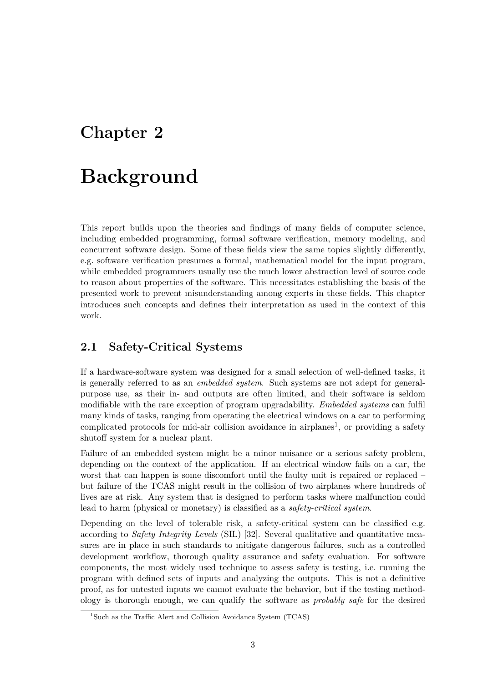## <span id="page-7-0"></span>**Chapter 2**

# **Background**

This report builds upon the theories and findings of many fields of computer science, including embedded programming, formal software verification, memory modeling, and concurrent software design. Some of these fields view the same topics slightly differently, e.g. software verification presumes a formal, mathematical model for the input program, while embedded programmers usually use the much lower abstraction level of source code to reason about properties of the software. This necessitates establishing the basis of the presented work to prevent misunderstanding among experts in these fields. This chapter introduces such concepts and defines their interpretation as used in the context of this work.

## **2.1 Safety-Critical Systems**

<span id="page-7-1"></span>If a hardware-software system was designed for a small selection of well-defined tasks, it is generally referred to as an *embedded system*. Such systems are not adept for generalpurpose use, as their in- and outputs are often limited, and their software is seldom modifiable with the rare exception of program upgradability. *Embedded systems* can fulfil many kinds of tasks, ranging from operating the electrical windows on a car to performing complicated protocols for mid-air collision avoidance in airplanes<sup>1</sup>, or providing a safety shutoff system for a nuclear plant.

Failure of an embedded system might be a minor nuisance or a serious safety problem, depending on the context of the application. If an electrical wi[nd](#page-7-2)ow fails on a car, the worst that can happen is some discomfort until the faulty unit is repaired or replaced – but failure of the TCAS might result in the collision of two airplanes where hundreds of lives are at risk. Any system that is designed to perform tasks where malfunction could lead to harm (physical or monetary) is classified as a *safety-critical system*.

Depending on the level of tolerable risk, a safety-critical system can be classified e.g. according to *Safety Integrity Levels* (SIL) [32]. Several qualitative and quantitative measures are in place in such standards to mitigate dangerous failures, such as a controlled development workflow, thorough quality assurance and safety evaluation. For software components, the most widely used technique to assess safety is testing, i.e. running the program with defined sets of inputs and a[na](#page-50-2)lyzing the outputs. This is not a definitive proof, as for untested inputs we cannot evaluate the behavior, but if the testing methodology is thorough enough, we can qualify the software as *probably safe* for the desired

<span id="page-7-2"></span><sup>&</sup>lt;sup>1</sup>Such as the Traffic Alert and Collision Avoidance System (TCAS)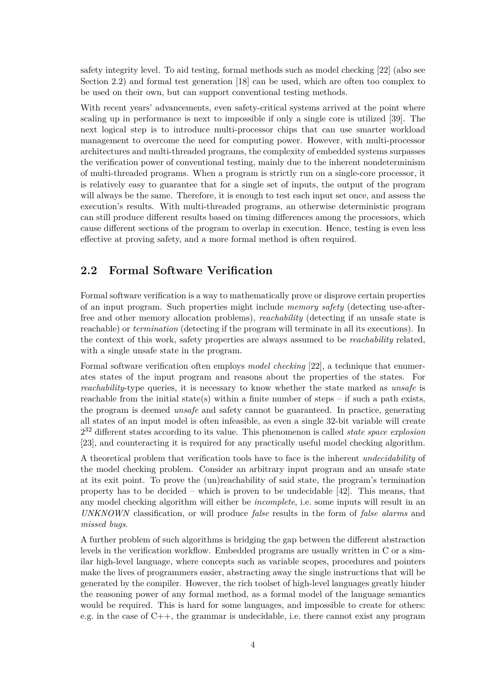safety integrity level. To aid testing, formal methods such as model checking [22] (also see Section 2.2) and formal test generation [18] can be used, which are often too complex to be used on their own, but can support conventional testing methods.

With recent years' advancements, even safety-critical systems arrived at the [po](#page-49-2)int where scaling [up i](#page-8-0)n performance is next to im[pos](#page-48-1)sible if only a single core is utilized [39]. The next logical step is to introduce multi-processor chips that can use smarter workload management to overcome the need for computing power. However, with multi-processor architectures and multi-threaded programs, the complexity of embedded systems surpasses the verification power of conventional testing, mainly due to the inherent nondet[erm](#page-50-0)inism of multi-threaded programs. When a program is strictly run on a single-core processor, it is relatively easy to guarantee that for a single set of inputs, the output of the program will always be the same. Therefore, it is enough to test each input set once, and assess the execution's results. With multi-threaded programs, an otherwise deterministic program can still produce different results based on timing differences among the processors, which cause different sections of the program to overlap in execution. Hence, testing is even less effective at proving safety, and a more formal method is often required.

### **2.2 Formal Software Verification**

<span id="page-8-0"></span>Formal software verification is a way to mathematically prove or disprove certain properties of an input program. Such properties might include *memory safety* (detecting use-afterfree and other memory allocation problems), *reachability* (detecting if an unsafe state is reachable) or *termination* (detecting if the program will terminate in all its executions). In the context of this work, safety properties are always assumed to be *reachability* related, with a single unsafe state in the program.

Formal software verification often employs *model checking* [22], a technique that enumerates states of the input program and reasons about the properties of the states. For *reachability*-type queries, it is necessary to know whether the state marked as *unsafe* is reachable from the initial state(s) within a finite number of steps – if such a path exists, the program is deemed *unsafe* and safety cannot be guara[nte](#page-49-2)ed. In practice, generating all states of an input model is often infeasible, as even a single 32-bit variable will create 2 <sup>32</sup> different states according to its value. This phenomenon is called *state space explosion* [23], and counteracting it is required for any practically useful model checking algorithm.

A theoretical problem that verification tools have to face is the inherent *undecidability* of the model checking problem. Consider an arbitrary input program and an unsafe state [at](#page-49-3) its exit point. To prove the (un)reachability of said state, the program's termination property has to be decided – which is proven to be undecidable [42]. This means, that any model checking algorithm will either be *incomplete*, i.e. some inputs will result in an *UNKNOWN* classification, or will produce *false* results in the form of *false alarms* and *missed bugs*.

A further problem of such algorithms is bridging the gap between t[he](#page-51-0) different abstraction levels in the verification workflow. Embedded programs are usually written in C or a similar high-level language, where concepts such as variable scopes, procedures and pointers make the lives of programmers easier, abstracting away the single instructions that will be generated by the compiler. However, the rich toolset of high-level languages greatly hinder the reasoning power of any formal method, as a formal model of the language semantics would be required. This is hard for some languages, and impossible to create for others: e.g. in the case of  $C_{++}$ , the grammar is undecidable, i.e. there cannot exist any program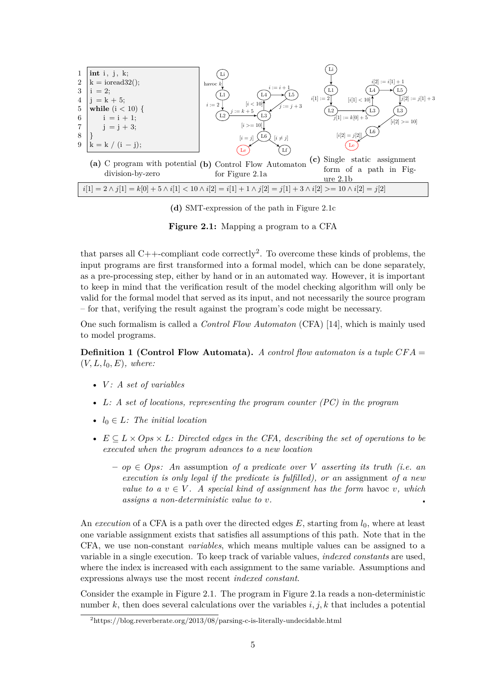<span id="page-9-0"></span>

**(d)** SMT-expression of [the](#page-9-0) path in Figure 2.1c

**Figure 2.1:** Mapping a program to a CFA

that parses all  $C++$ -compliant code correctly<sup>2</sup>. To overcome t[hese](#page-9-0) kinds of problems, the input programs are first transformed into a formal model, which can be done separately, as a pre-processing step, either by hand or in an automated way. However, it is important to keep in mind that the verification result o[f](#page-9-1) the model checking algorithm will only be valid for the formal model that served as its input, and not necessarily the source program – for that, verifying the result against the program's code might be necessary.

One such formalism is called a *Control Flow Automaton* (CFA) [14], which is mainly used to model programs.

**Definition 1 (Control Flow Automata).** *A control flow automaton is a tuple CF A* =  $(V, L, l_0, E)$ *, where:* 

- *V : A set of variables*
- *L: A set of locations, representing the program counter (PC) in the program*
- *l*<sup>0</sup> *∈ L: The initial location*
- *E ⊆ L × Ops × L: Directed edges in the CFA, describing the set of operations to be executed when the program advances to a new location*
	- **–** *op ∈ Ops: An* assumption *of a predicate over V asserting its truth (i.e. an execution is only legal if the predicate is fulfilled), or an* assignment *of a new value to a*  $v \in V$ . A special kind of assignment has the form havoc *v*, which *assigns a non-deterministic value to v.*

An *execution* of a CFA is a path over the directed edges *E*, starting from *l*0, where at least one variable assignment exists that satisfies all assumptions of this path. Note that in the CFA, we use non-constant *variables*, which means multiple values can be assigned to a variable in a single execution. To keep track of variable values, *indexed constants* are used, where the index is increased with each assignment to the same variable. Assumptions and expressions always use the most recent *indexed constant*.

Consider the example in Figure 2.1. The program in Figure 2.1a reads a non-deterministic number *k*, then does several calculations over the variables *i, j, k* that includes a potential

<span id="page-9-1"></span><sup>2</sup>https://blog.reverberate.org/2013/08/parsing-c-is-literally-undecidable.html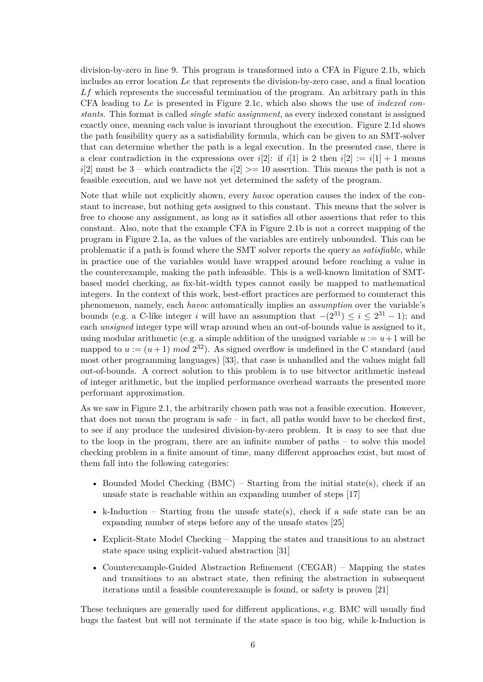division-by-zero in line 9. This program is transformed into a CFA in Figure 2.1b, which includes an error location *Le* that represents the division-by-zero case, and a final location *Lf* which represents the successful termination of the program. An arbitrary path in this CFA leading to *Le* is presented in Figure 2.1c, which also shows the use of *indexed constants*. This format is called *single static assignment*, as every indexed constan[t is a](#page-9-0)ssigned exactly once, meaning each value is invariant throughout the execution. Figure 2.1d shows the path feasibility query as a satisfiability formula, which can be given to an SMT-solver that can determine whether the path is a [legal](#page-9-0) execution. In the presented case, there is a clear contradiction in the expressions over  $i[2]$ : if  $i[1]$  is 2 then  $i[2] := i[1] + 1$  means *i*[2] must be 3 – which contradicts the *i*[2]  $> = 10$  assertion. This means the p[ath is](#page-9-0) not a feasible execution, and we have not yet determined the safety of the program.

Note that while not explicitly shown, every *havoc* operation causes the index of the constant to increase, but nothing gets assigned to this constant. This means that the solver is free to choose any assignment, as long as it satisfies all other assertions that refer to this constant. Also, note that the example CFA in Figure 2.1b is not a correct mapping of the program in Figure 2.1a, as the values of the variables are entirely unbounded. This can be problematic if a path is found where the SMT solver reports the query as *satisfiable*, while in practice one of the variables would have wrapped around before reaching a value in the counterexample, making the path infeasible. This [is a](#page-9-0) well-known limitation of SMTbased model chec[king,](#page-9-0) as fix-bit-width types cannot easily be mapped to mathematical integers. In the context of this work, best-effort practices are performed to counteract this phenomenon, namely, each *havoc* automatically implies an *assumption* over the variable's bounds (e.g. a C-like integer *i* will have an assumption that  $-(2^{31}) \le i \le 2^{31} - 1$ ); and each *unsigned* integer type will wrap around when an out-of-bounds value is assigned to it, using modular arithmetic (e.g. a simple addition of the unsigned variable  $u := u + 1$  will be mapped to  $u := (u+1) \mod 2^{32}$ ). As signed overflow is undefined in the C standard (and most other programming languages) [33], that case is unhandled and the values might fall out-of-bounds. A correct solution to this problem is to use bitvector arithmetic instead of integer arithmetic, but the implied performance overhead warrants the presented more performant approximation.

As we saw in Figure 2.1, the arbitraril[y c](#page-50-3)hosen path was not a feasible execution. However, that does not mean the program is safe – in fact, all paths would have to be checked first, to see if any produce the undesired division-by-zero problem. It is easy to see that due to the loop in the program, there are an infinite number of paths – to solve this model checking problem in [a fi](#page-9-0)nite amount of time, many different approaches exist, but most of them fall into the following categories:

- Bounded Model Checking (BMC) Starting from the initial state(s), check if an unsafe state is reachable within an expanding number of steps [17]
- k-Induction Starting from the unsafe state(s), check if a safe state can be an expanding number of steps before any of the unsafe states [25]
- Explicit-State Model Checking Mapping the states and trans[itio](#page-48-2)ns to an abstract state space using explicit-valued abstraction [31]
- Counterexample-Guided Abstraction Refinement (CEGAR[\) –](#page-49-4) Mapping the states and transitions to an abstract state, then refining the abstraction in subsequent iterations until a feasible counterexample is f[oun](#page-50-4)d, or safety is proven [21]

These techniques are generally used for different applications, e.g. BMC will usually find bugs the fastest but will not terminate if the state space is too big, while k[-In](#page-49-0)duction is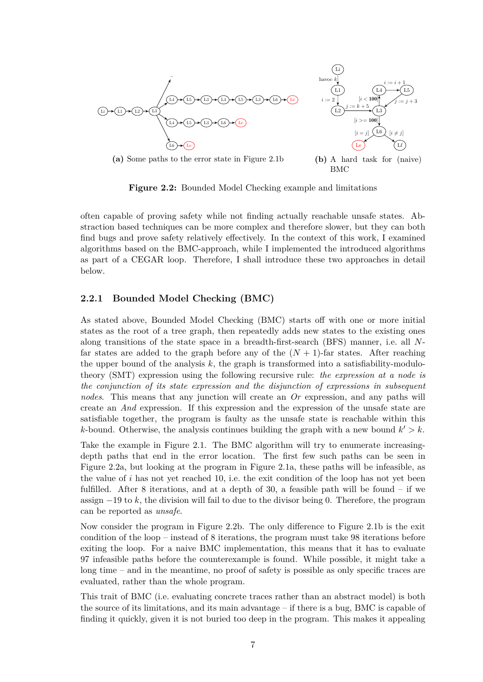<span id="page-11-1"></span>

**Figure 2.2:** Bounded Model Checking example and limitations

often capable of proving safety while not finding actually reachable unsafe states. Abstraction based techniques can be more complex and therefore slower, but they can both find bugs and prove safety relatively effectively. In the context of this work, I examined algorithms based on the BMC-approach, while I implemented the introduced algorithms as part of a CEGAR loop. Therefore, I shall introduce these two approaches in detail below.

#### **2.2.1 Bounded Model Checking (BMC)**

<span id="page-11-0"></span>As stated above, Bounded Model Checking (BMC) starts off with one or more initial states as the root of a tree graph, then repeatedly adds new states to the existing ones along transitions of the state space in a breadth-first-search (BFS) manner, i.e. all *N*far states are added to the graph before any of the  $(N + 1)$ -far states. After reaching the upper bound of the analysis *k*, the graph is transformed into a satisfiability-modulotheory (SMT) expression using the following recursive rule: *the expression at a node is the conjunction of its state expression and the disjunction of expressions in subsequent nodes*. This means that any junction will create an *Or* expression, and any paths will create an *And* expression. If this expression and the expression of the unsafe state are satisfiable together, the program is faulty as the unsafe state is reachable within this *k*-bound. Otherwise, the analysis continues building the graph with a new bound  $k' > k$ .

Take the example in Figure 2.1. The BMC algorithm will try to enumerate increasingdepth paths that end in the error location. The first few such paths can be seen in Figure 2.2a, but looking at the program in Figure 2.1a, these paths will be infeasible, as the value of  $i$  has not yet reached 10, i.e. the exit condition of the loop has not yet been fulfilled. After 8 iterations, [and](#page-9-0) at a depth of 30, a feasible path will be found – if we assign *−*19 to *k*, the division will fail to due to the [diviso](#page-9-0)r being 0. Therefore, the program can be [repo](#page-11-1)rted as *unsafe*.

Now consider the program in Figure 2.2b. The only difference to Figure 2.1b is the exit condition of the loop – instead of 8 iterations, the program must take 98 iterations before exiting the loop. For a naive BMC implementation, this means that it has to evaluate 97 infeasible paths before the counterexample is found. While possible, it might take a long time – and in the meantime, no [proo](#page-11-1)f of safety is possible as only sp[ecific](#page-9-0) traces are evaluated, rather than the whole program.

This trait of BMC (i.e. evaluating concrete traces rather than an abstract model) is both the source of its limitations, and its main advantage – if there is a bug, BMC is capable of finding it quickly, given it is not buried too deep in the program. This makes it appealing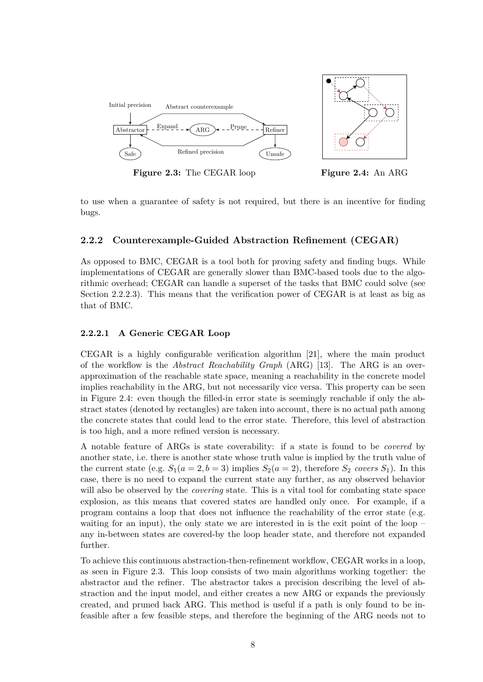<span id="page-12-3"></span>

**Figure 2.3:** The CEGAR loop **Figure 2.4:** An ARG

<span id="page-12-2"></span>

to use when a guarantee of safety is not required, but there is an incentive for finding bugs.

#### **2.2.2 Counterexample-Guided Abstraction Refinement (CEGAR)**

<span id="page-12-0"></span>As opposed to BMC, CEGAR is a tool both for proving safety and finding bugs. While implementations of CEGAR are generally slower than BMC-based tools due to the algorithmic overhead; CEGAR can handle a superset of the tasks that BMC could solve (see Section 2.2.2.3). This means that the verification power of CEGAR is at least as big as that of BMC.

#### **2.2.2.1 [A G](#page-17-0)eneric CEGAR Loop**

<span id="page-12-1"></span>CEGAR is a highly configurable verification algorithm [21], where the main product of the workflow is the *Abstract Reachability Graph* (ARG) [13]. The ARG is an overapproximation of the reachable state space, meaning a reachability in the concrete model implies reachability in the ARG, but not necessarily vice versa. This property can be seen in Figure 2.4: even though the filled-in error state is seem[ing](#page-49-0)ly reachable if only the abstract states (denoted by rectangles) are taken into account, t[here](#page-48-3) is no actual path among the concrete states that could lead to the error state. Therefore, this level of abstraction is too hig[h, a](#page-12-2)nd a more refined version is necessary.

A notable feature of ARGs is state coverability: if a state is found to be *covered* by another state, i.e. there is another state whose truth value is implied by the truth value of the current state (e.g.  $S_1(a = 2, b = 3)$  implies  $S_2(a = 2)$ , therefore  $S_2$  *covers*  $S_1$ ). In this case, there is no need to expand the current state any further, as any observed behavior will also be observed by the *covering* state. This is a vital tool for combating state space explosion, as this means that covered states are handled only once. For example, if a program contains a loop that does not influence the reachability of the error state (e.g. waiting for an input), the only state we are interested in is the exit point of the loop – any in-between states are covered-by the loop header state, and therefore not expanded further.

To achieve this continuous abstraction-then-refinement workflow, CEGAR works in a loop, as seen in Figure 2.3. This loop consists of two main algorithms working together: the abstractor and the refiner. The abstractor takes a precision describing the level of abstraction and the input model, and either creates a new ARG or expands the previously created, and pruned back ARG. This method is useful if a path is only found to be infeasible after a fe[w fe](#page-12-3)asible steps, and therefore the beginning of the ARG needs not to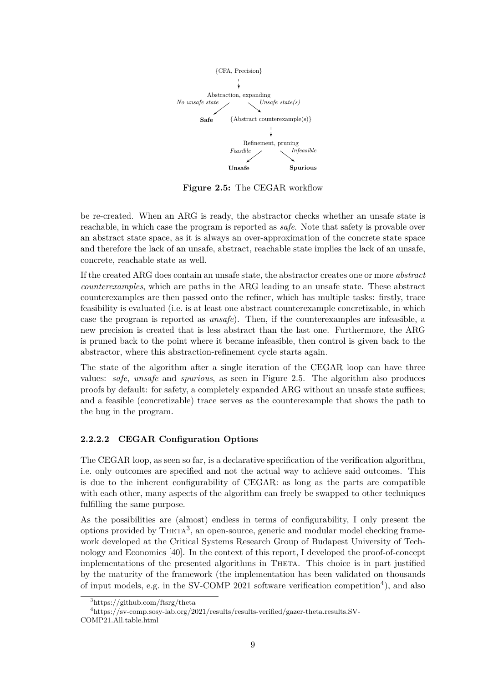

**Figure 2.5:** The CEGAR workflow

be re-created. When an ARG is ready, the abstractor checks whether an unsafe state is reachable, in which case the program is reported as *safe*. Note that safety is provable over an abstract state space, as it is always an over-approximation of the concrete state space and therefore the lack of an unsafe, abstract, reachable state implies the lack of an unsafe, concrete, reachable state as well.

If the created ARG does contain an unsafe state, the abstractor creates one or more *abstract counterexamples*, which are paths in the ARG leading to an unsafe state. These abstract counterexamples are then passed onto the refiner, which has multiple tasks: firstly, trace feasibility is evaluated (i.e. is at least one abstract counterexample concretizable, in which case the program is reported as *unsafe*). Then, if the counterexamples are infeasible, a new precision is created that is less abstract than the last one. Furthermore, the ARG is pruned back to the point where it became infeasible, then control is given back to the abstractor, where this abstraction-refinement cycle starts again.

The state of the algorithm after a single iteration of the CEGAR loop can have three values: *safe*, *unsafe* and *spurious*, as seen in Figure 2.5. The algorithm also produces proofs by default: for safety, a completely expanded ARG without an unsafe state suffices; and a feasible (concretizable) trace serves as the counterexample that shows the path to the bug in the program.

#### **2.2.2.2 CEGAR Configuration Options**

<span id="page-13-0"></span>The CEGAR loop, as seen so far, is a declarative specification of the verification algorithm, i.e. only outcomes are specified and not the actual way to achieve said outcomes. This is due to the inherent configurability of CEGAR: as long as the parts are compatible with each other, many aspects of the algorithm can freely be swapped to other techniques fulfilling the same purpose.

As the possibilities are (almost) endless in terms of configurability, I only present the options provided by THETA<sup>3</sup>, an open-source, generic and modular model checking framework developed at the Critical Systems Research Group of Budapest University of Technology and Economics [40]. In the context of this report, I developed the proof-of-concept implementations of the pr[es](#page-13-1)ented algorithms in THETA. This choice is in part justified by the maturity of the framework (the implementation has been validated on thousands of input models, e.g. in [th](#page-50-1)e SV-COMP 2021 software verification competition<sup>4</sup>), and also

<sup>3</sup>https://github.com/ftsrg/theta

<span id="page-13-1"></span><sup>4</sup>https://sv-comp.sosy-lab.org/2021/results/results-verified/gazer-theta.results.SV-COMP21.All.table.html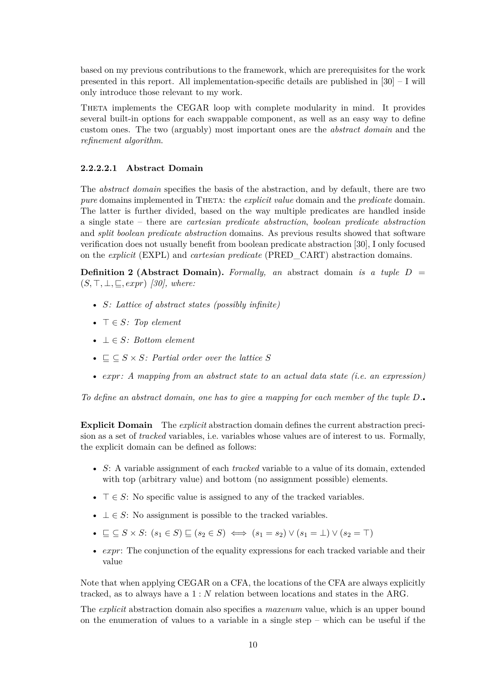based on my previous contributions to the framework, which are prerequisites for the work presented in this report. All implementation-specific details are published in [30] – I will only introduce those relevant to my work.

Theta implements the CEGAR loop with complete modularity in mind. It provides several built-in options for each swappable component, as well as an easy wa[y t](#page-49-1)o define custom ones. The two (arguably) most important ones are the *abstract domain* and the *refinement algorithm*.

#### **2.2.2.2.1 Abstract Domain**

The *abstract domain* specifies the basis of the abstraction, and by default, there are two *pure* domains implemented in THETA: the *explicit value* domain and the *predicate* domain. The latter is further divided, based on the way multiple predicates are handled inside a single state – there are *cartesian predicate abstraction*, *boolean predicate abstraction* and *split boolean predicate abstraction* domains. As previous results showed that software verification does not usually benefit from boolean predicate abstraction [30], I only focused on the *explicit* (EXPL) and *cartesian predicate* (PRED\_CART) abstraction domains.

**Definition 2 (Abstract Domain).** *Formally, an* abstract domain *is a tuple*  $D =$  $(S, \top, \bot, \sqsubseteq, expr)$  [30], where:

- *S: Lattice of abstract states (possibly infinite)*
- $\top \in S$ *: Top [elem](#page-49-1)ent*
- *⊥ ∈ S: Bottom element*
- $\subseteq \subseteq S \times S$ : Partial order over the lattice S
- *expr: A mapping from an abstract state to an actual data state (i.e. an expression)*

*To define an abstract domain, one has to give a mapping for each member of the tuple*  $D$ .

**Explicit Domain** The *explicit* abstraction domain defines the current abstraction precision as a set of *tracked* variables, i.e. variables whose values are of interest to us. Formally, the explicit domain can be defined as follows:

- *S*: A variable assignment of each *tracked* variable to a value of its domain, extended with top (arbitrary value) and bottom (no assignment possible) elements.
- $\top \in S$ : No specific value is assigned to any of the tracked variables.
- *⊥ ∈ S*: No assignment is possible to the tracked variables.
- $\subseteq$   $\subseteq$   $S \times S$ :  $(s_1 \in S)$   $\subseteq$   $(s_2 \in S)$   $\iff$   $(s_1 = s_2) \vee (s_1 = \bot) \vee (s_2 = \top)$
- *expr*: The conjunction of the equality expressions for each tracked variable and their value

Note that when applying CEGAR on a CFA, the locations of the CFA are always explicitly tracked, as to always have a 1 : *N* relation between locations and states in the ARG.

The *explicit* abstraction domain also specifies a *maxenum* value, which is an upper bound on the enumeration of values to a variable in a single step – which can be useful if the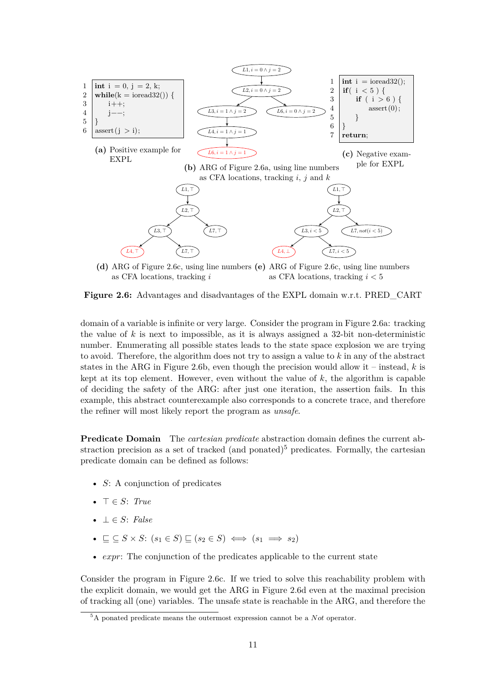<span id="page-15-0"></span>

as CFA locations, tracking *i* as CFA locations, tracking *i <* 5

**Figure 2.6:** Advantages and disadvantages of the EXPL domain w.r.t. PRED\_CART

domain of a variable is infinite or very large. Consider the program in Figure 2.6a: tracking the value of  $k$  is next to impossible, as it is always assigned a 32-bit non-deterministic number. Enumerating all possible states leads to the state space explosion we are trying to avoid. Therefore, the algorithm does not try to assign a value to *k* in any of the abstract states in the ARG in Figure 2.6b, even though the precision would allow it [– ins](#page-15-0)tead, *k* is kept at its top element. However, even without the value of *k*, the algorithm is capable of deciding the safety of the ARG: after just one iteration, the assertion fails. In this example, this abstract counterexample also corresponds to a concrete trace, and therefore the refiner will most likely r[eport](#page-15-0) the program as *unsafe*.

**Predicate Domain** The *cartesian predicate* abstraction domain defines the current abstraction precision as a set of tracked (and ponated)<sup>5</sup> predicates. Formally, the cartesian predicate domain can be defined as follows:

- *S*: A conjunction of predicates
- *> ∈ S*: *True*
- *⊥ ∈ S*: *False*
- $\bullet$  *⊂*  $S \times S$ :  $(s_1 \in S)$   $\subset (s_2 \in S) \iff (s_1 \implies s_2)$
- *expr*: The conjunction of the predicates applicable to the current state

Consider the program in Figure 2.6c. If we tried to solve this reachability problem with the explicit domain, we would get the ARG in Figure 2.6d even at the maximal precision of tracking all (one) variables. The unsafe state is reachable in the ARG, and therefore the

<sup>5</sup>A ponated predicate means the ou[termo](#page-15-0)st expression cannot be a *Not* operator.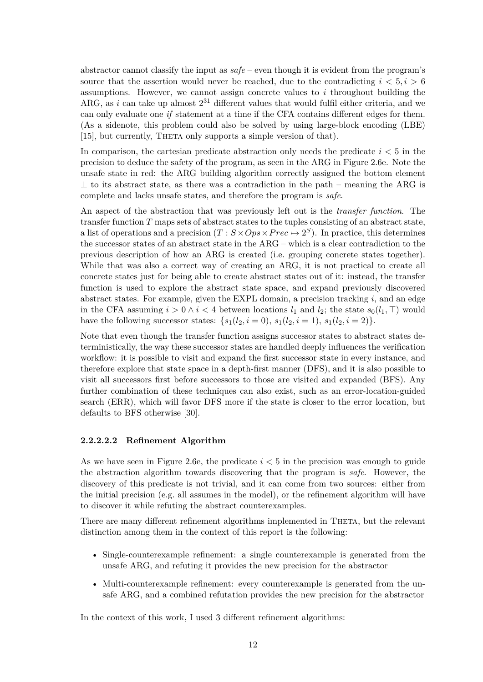abstractor cannot classify the input as *safe* – even though it is evident from the program's source that the assertion would never be reached, due to the contradicting  $i < 5, i > 6$ assumptions. However, we cannot assign concrete values to *i* throughout building the ARG, as *i* can take up almost  $2^{31}$  different values that would fulfil either criteria, and we can only evaluate one *if* statement at a time if the CFA contains different edges for them. (As a sidenote, this problem could also be solved by using large-block encoding (LBE) [15], but currently, THETA only supports a simple version of that).

In comparison, the cartesian predicate abstraction only needs the predicate *i <* 5 in the precision to deduce the safety of the program, as seen in the ARG in Figure 2.6e. Note the [uns](#page-48-4)afe state in red: the ARG building algorithm correctly assigned the bottom element *⊥* to its abstract state, as there was a contradiction in the path – meaning the ARG is complete and lacks unsafe states, and therefore the program is *safe*.

An aspect of the abstraction that was previously left out is the *transfer [func](#page-15-0)tion*. The transfer function *T* maps sets of abstract states to the tuples consisting of an abstract state, a list of operations and a precision  $(T : S \times Ops \times Prec \mapsto 2^S)$ . In practice, this determines the successor states of an abstract state in the ARG – which is a clear contradiction to the previous description of how an ARG is created (i.e. grouping concrete states together). While that was also a correct way of creating an ARG, it is not practical to create all concrete states just for being able to create abstract states out of it: instead, the transfer function is used to explore the abstract state space, and expand previously discovered abstract states. For example, given the EXPL domain, a precision tracking *i*, and an edge in the CFA assuming  $i > 0 \land i < 4$  between locations  $l_1$  and  $l_2$ ; the state  $s_0(l_1, \top)$  would have the following successor states:  $\{s_1(l_2, i = 0), s_1(l_2, i = 1), s_1(l_2, i = 2)\}.$ 

Note that even though the transfer function assigns successor states to abstract states deterministically, the way these successor states are handled deeply influences the verification workflow: it is possible to visit and expand the first successor state in every instance, and therefore explore that state space in a depth-first manner (DFS), and it is also possible to visit all successors first before successors to those are visited and expanded (BFS). Any further combination of these techniques can also exist, such as an error-location-guided search (ERR), which will favor DFS more if the state is closer to the error location, but defaults to BFS otherwise [30].

#### **2.2.2.2.2 Refinement Algorithm**

As we have seen in Figure [2.6](#page-49-1)e, the predicate  $i < 5$  in the precision was enough to guide the abstraction algorithm towards discovering that the program is *safe*. However, the discovery of this predicate is not trivial, and it can come from two sources: either from the initial precision (e.g. all assumes in the model), or the refinement algorithm will have to discover it while refutin[g the](#page-15-0) abstract counterexamples.

There are many different refinement algorithms implemented in THETA, but the relevant distinction among them in the context of this report is the following:

- Single-counterexample refinement: a single counterexample is generated from the unsafe ARG, and refuting it provides the new precision for the abstractor
- Multi-counterexample refinement: every counterexample is generated from the unsafe ARG, and a combined refutation provides the new precision for the abstractor

In the context of this work, I used 3 different refinement algorithms: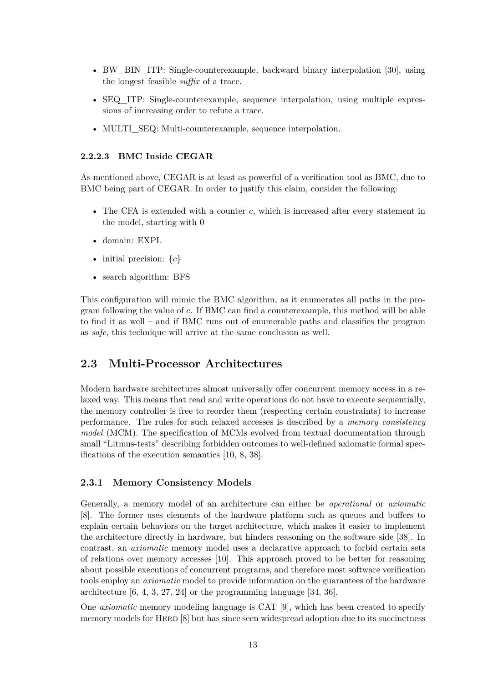- BW\_BIN\_ITP: Single-counterexample, backward binary interpolation [30], using the longest feasible *suffix* of a trace.
- SEQ ITP: Sing[le](#page-49-1)-counterexample, sequence interpolation, using multiple expressions of increasing order to refute a trace.
- MULTI\_SEQ: Multi-counterexample, sequence interpolation.

#### **2.2.2.3 BMC Inside CEGAR**

<span id="page-17-0"></span>As mentioned above, CEGAR is at least as powerful of a verification tool as BMC, due to BMC being part of CEGAR. In order to justify this claim, consider the following:

- The CFA is extended with a counter *c*, which is increased after every statement in the model, starting with 0
- domain: EXPL
- initial precision: *{c}*
- search algorithm: BFS

This configuration will mimic the BMC algorithm, as it enumerates all paths in the program following the value of *c*. If BMC can find a counterexample, this method will be able to find it as well – and if BMC runs out of enumerable paths and classifies the program as *safe*, this technique will arrive at the same conclusion as well.

## **2.3 Multi-Processor Architectures**

<span id="page-17-1"></span>Modern hardware architectures almost universally offer concurrent memory access in a relaxed way. This means that read and write operations do not have to execute sequentially, the memory controller is free to reorder them (respecting certain constraints) to increase performance. The rules for such relaxed accesses is described by a *memory consistency model* (MCM). The specification of MCMs evolved from textual documentation through small "Litmus-tests" describing forbidden outcomes to well-defined axiomatic formal specifications of the execution semantics [10, 8, 38].

### **2.3.1 Memory Consistency Models**

<span id="page-17-2"></span>Generally, a memory model of an a[rch](#page-48-5)[ite](#page-48-6)[ctu](#page-50-5)re can either be *operational* or *axiomatic* [8]. The former uses elements of the hardware platform such as queues and buffers to explain certain behaviors on the target architecture, which makes it easier to implement the architecture directly in hardware, but hinders reasoning on the software side [38]. In contrast, an *axiomatic* memory model uses a declarative approach to forbid certain sets [of](#page-48-6) relations over memory accesses [10]. This approach proved to be better for reasoning about possible executions of concurrent programs, and therefore most software verification tools employ an *axiomatic* model to provide information on the guarantees of the ha[rdw](#page-50-5)are architecture [6, 4, 3, 27, 24] or the [pro](#page-48-5)gramming language [34, 36].

One *axiomatic* memory modeling language is CAT [9], which has been created to specify memory models for HERD  $[8]$  but has since seen widespread adoption due to its succinctness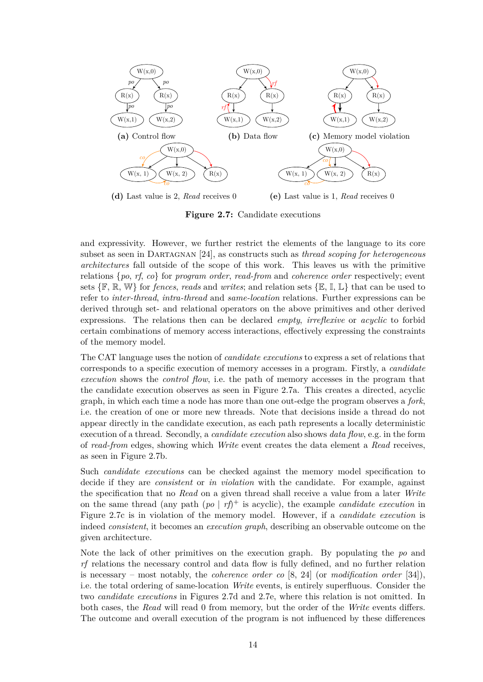<span id="page-18-0"></span>

**Figure 2.7:** Candidate executions

and expressivity. However, we further restrict the elements of the language to its core subset as seen in Dartagnan [24], as constructs such as *thread scoping for heterogeneous architectures* fall outside of the scope of this work. This leaves us with the primitive relations {*po*, *rf*, *co*} for *program order*, *read-from* and *coherence order* respectively; event sets  $\{\mathbb{F}, \mathbb{R}, \mathbb{W}\}$  for *fences*, *reads* and *writes*; and relation sets  $\{\mathbb{E}, \mathbb{I}, \mathbb{L}\}$  that can be used to refer to *inter-thread*, *intra-thre[ad](#page-49-5)* and *same-location* relations. Further expressions can be derived through set- and relational operators on the above primitives and other derived expressions. The relations then can be declared *empty*, *irreflexive* or *acyclic* to forbid certain combinations of memory access interactions, effectively expressing the constraints of the memory model.

The CAT language uses the notion of *candidate executions* to express a set of relations that corresponds to a specific execution of memory accesses in a program. Firstly, a *candidate execution* shows the *control flow*, i.e. the path of memory accesses in the program that the candidate execution observes as seen in Figure 2.7a. This creates a directed, acyclic graph, in which each time a node has more than one out-edge the program observes a *fork*, i.e. the creation of one or more new threads. Note that decisions inside a thread do not appear directly in the candidate execution, as each [path](#page-18-0) represents a locally deterministic execution of a thread. Secondly, a *candidate execution* also shows *data flow*, e.g. in the form of *read-from* edges, showing which *Write* event creates the data element a *Read* receives, as seen in Figure 2.7b.

Such *candidate executions* can be checked against the memory model specification to decide if they are *consistent* or *in violation* with the candidate. For example, against the specification [that](#page-18-0) no *Read* on a given thread shall receive a value from a later *Write* on the same thread (any path  $(po | rf)^+$  is acyclic), the example *candidate execution* in Figure 2.7c is in violation of the memory model. However, if a *candidate execution* is indeed *consistent*, it becomes an *execution graph*, describing an observable outcome on the given architecture.

Note t[he la](#page-18-0)ck of other primitives on the execution graph. By populating the *po* and *rf* relations the necessary control and data flow is fully defined, and no further relation is necessary – most notably, the *coherence order co* [8, 24] (or *modification order* [34]), i.e. the total ordering of same-location *Write* events, is entirely superfluous. Consider the two *candidate executions* in Figures 2.7d and 2.7e, where this relation is not omitted. In both cases, the *Read* will read 0 from memory, but the order of the *Write* events differs. The outcome and overall execution of the program is [n](#page-48-6)o[t i](#page-49-5)nfluenced by these differ[enc](#page-50-6)es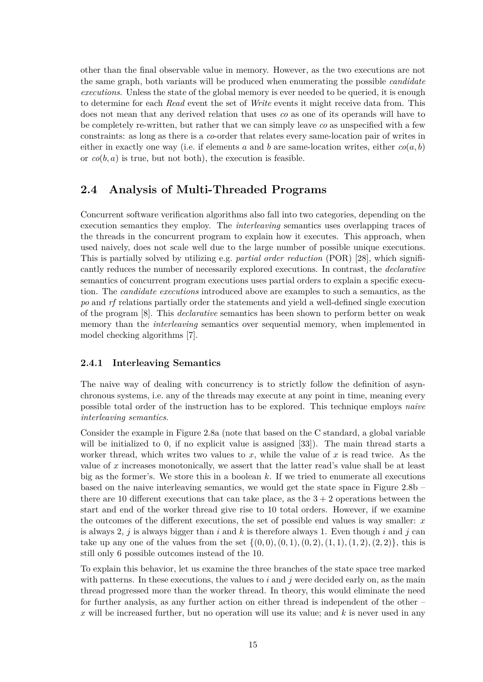other than the final observable value in memory. However, as the two executions are not the same graph, both variants will be produced when enumerating the possible *candidate executions*. Unless the state of the global memory is ever needed to be queried, it is enough to determine for each *Read* event the set of *Write* events it might receive data from. This does not mean that any derived relation that uses *co* as one of its operands will have to be completely re-written, but rather that we can simply leave *co* as unspecified with a few constraints: as long as there is a *co*-order that relates every same-location pair of writes in either in exactly one way (i.e. if elements a and b are same-location writes, either  $co(a, b)$ or *co*(*b, a*) is true, but not both), the execution is feasible.

### **2.4 Analysis of Multi-Threaded Programs**

<span id="page-19-0"></span>Concurrent software verification algorithms also fall into two categories, depending on the execution semantics they employ. The *interleaving* semantics uses overlapping traces of the threads in the concurrent program to explain how it executes. This approach, when used naively, does not scale well due to the large number of possible unique executions. This is partially solved by utilizing e.g. *partial order reduction* (POR) [28], which significantly reduces the number of necessarily explored executions. In contrast, the *declarative* semantics of concurrent program executions uses partial orders to explain a specific execution. The *candidate executions* introduced above are examples to such a semantics, as the *po* and *rf* relations partially order the statements and yield a well-define[d s](#page-49-6)ingle execution of the program [8]. This *declarative* semantics has been shown to perform better on weak memory than the *interleaving* semantics over sequential memory, when implemented in model checking algorithms [7].

#### **2.4.1 Interl[ea](#page-48-6)ving Semantics**

<span id="page-19-1"></span>The naive way of dealing [wi](#page-47-1)th concurrency is to strictly follow the definition of asynchronous systems, i.e. any of the threads may execute at any point in time, meaning every possible total order of the instruction has to be explored. This technique employs *naive interleaving semantics*.

Consider the example in Figure 2.8a (note that based on the C standard, a global variable will be initialized to 0, if no explicit value is assigned [33]). The main thread starts a worker thread, which writes two values to *x*, while the value of *x* is read twice. As the value of *x* increases monotonically, we assert that the latter read's value shall be at least big as the former's. We store t[his in](#page-20-1) a boolean *k*. If we tried to enumerate all executions based on the naive interleaving semantics, we would get [th](#page-50-3)e state space in Figure 2.8b – there are 10 different executions that can take place, as the  $3 + 2$  operations between the start and end of the worker thread give rise to 10 total orders. However, if we examine the outcomes of the different executions, the set of possible end values is way sma[ller:](#page-20-1) *x* is always 2,  $j$  is always bigger than  $i$  and  $k$  is therefore always 1. Even though  $i$  and  $j$  can take up any one of the values from the set  $\{(0,0), (0,1), (0,2), (1,1), (1,2), (2,2)\}$ , this is still only 6 possible outcomes instead of the 10.

To explain this behavior, let us examine the three branches of the state space tree marked with patterns. In these executions, the values to  $i$  and  $j$  were decided early on, as the main thread progressed more than the worker thread. In theory, this would eliminate the need for further analysis, as any further action on either thread is independent of the other – *x* will be increased further, but no operation will use its value; and *k* is never used in any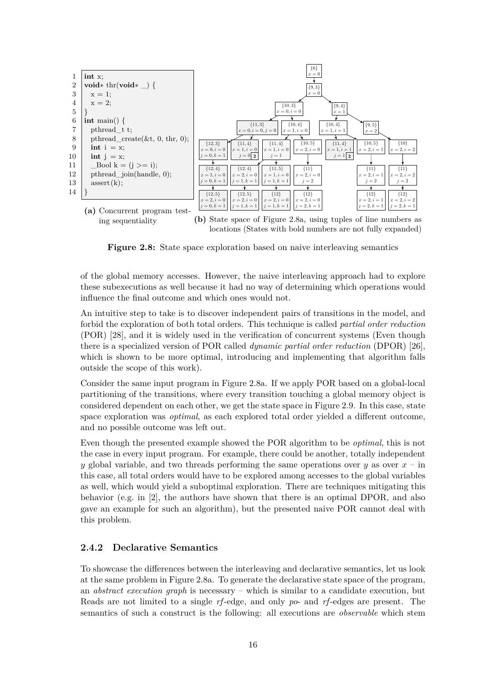<span id="page-20-1"></span>

**Figure 2.8:** State space exploration based on naive interleaving semantics

of the global memory accesses. However, the naive interleaving approach had to explore these subexecutions as well because it had no way of determining which operations would influence the final outcome and which ones would not.

An intuitive step to take is to discover independent pairs of transitions in the model, and forbid the exploration of both total orders. This technique is called *partial order reduction* (POR) [28], and it is widely used in the verification of concurrent systems (Even though there is a specialized version of POR called *dynamic partial order reduction* (DPOR) [26], which is shown to be more optimal, introducing and implementing that algorithm falls outside [the](#page-49-6) scope of this work).

Consider the same input program in Figure 2.8a. If we apply POR based on a global-l[oca](#page-49-7)l partitioning of the transitions, where every transition touching a global memory object is considered dependent on each other, we get the state space in Figure 2.9. In this case, state space exploration was *optimal*, as each exp[lored](#page-20-1) total order yielded a different outcome, and no possible outcome was left out.

Even though the presented example showed the POR algorithm to [be](#page-21-1) *optimal*, this is not the case in every input program. For example, there could be another, totally independent *y* global variable, and two threads performing the same operations over *y* as over *x* – in this case, all total orders would have to be explored among accesses to the global variables as well, which would yield a suboptimal exploration. There are techniques mitigating this behavior (e.g. in [2], the authors have shown that there is an optimal DPOR, and also gave an example for such an algorithm), but the presented naive POR cannot deal with this problem.

### **2.4.2 Declara[ti](#page-47-2)ve Semantics**

<span id="page-20-0"></span>To showcase the differences between the interleaving and declarative semantics, let us look at the same problem in Figure 2.8a. To generate the declarative state space of the program, an *abstract execution graph* is necessary – which is similar to a candidate execution, but Reads are not limited to a single *rf*-edge, and only *po*- and *rf*-edges are present. The semantics of such a construct [is t](#page-20-1)he following: all executions are *observable* which stem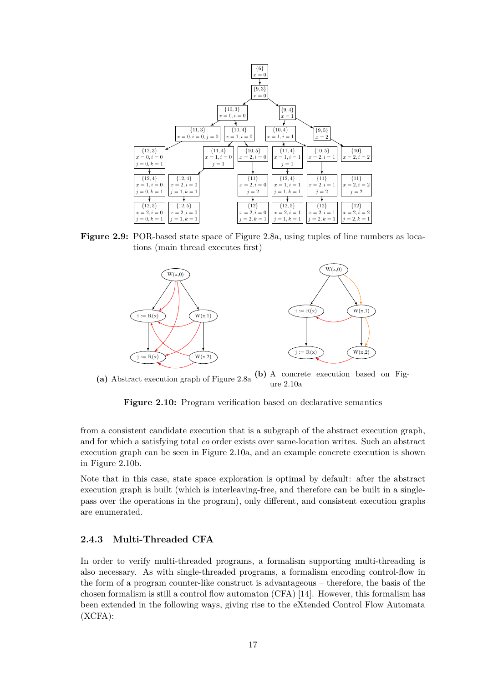<span id="page-21-1"></span>

**Figure 2.9:** POR-based state space of Figure 2.8a, using tuples of line numbers as locations (main thread executes first)

<span id="page-21-2"></span>

(a) Abstract execution graph of Figure 2.8a  $(b)$  A concrete execution based on Figure 2.10a

**Figure 2.10:** Program verification based on declarative semantics

from a consistent candidate execution that is a subg[raph o](#page-21-2)f the abstract execution graph, and for which a satisfying total *co* order exists over same-location writes. Such an abstract execution graph can be seen in Figure 2.10a, and an example concrete execution is shown in Figure 2.10b.

Note that in this case, state space exploration is optimal by default: after the abstract execution graph is built (which is inte[rleavin](#page-21-2)g-free, and therefore can be built in a singlepass over [the op](#page-21-2)erations in the program), only different, and consistent execution graphs are enumerated.

#### **2.4.3 Multi-Threaded CFA**

<span id="page-21-0"></span>In order to verify multi-threaded programs, a formalism supporting multi-threading is also necessary. As with single-threaded programs, a formalism encoding control-flow in the form of a program counter-like construct is advantageous – therefore, the basis of the chosen formalism is still a control flow automaton (CFA) [14]. However, this formalism has been extended in the following ways, giving rise to the eXtended Control Flow Automata (XCFA):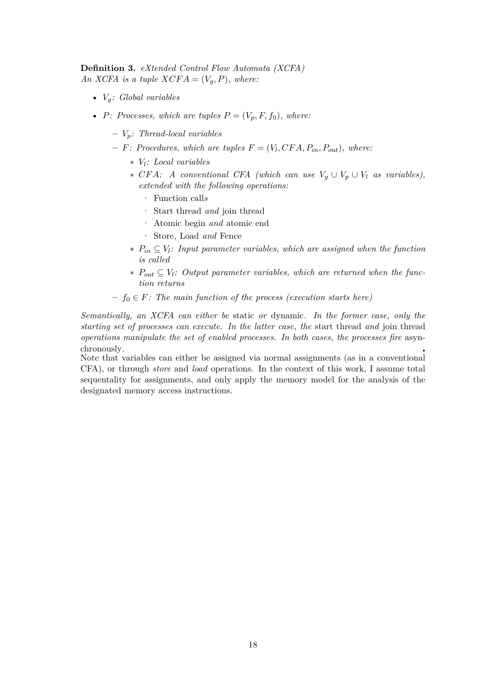**Definition 3.** *eXtended Control Flow Automata (XCFA) An XCFA is a tuple*  $XCFA = (V_q, P)$ *, where:* 

- *Vg: Global variables*
- *P: Processes, which are tuples*  $P = (V_p, F, f_0)$ *, where:* 
	- **–** *Vp: Thread-local variables*
	- $-F:$  *Procedures, which are tuples*  $F = (V_l, CFA, P_{in}, P_{out})$ *, where:* 
		- ∗ *V<sup>l</sup> : Local variables*
		- ∗ *CF A: A conventional CFA (which can use V<sup>g</sup> ∪ V<sup>p</sup> ∪ V<sup>l</sup> as variables), extended with the following operations:*
			- · Function call*s*
			- · Start thread *and* join thread
			- · Atomic begin *and* atomic end
			- · Store*,* Load *and* Fence
		- ∗ *Pin ⊆ V<sup>l</sup> : Input parameter variables, which are assigned when the function is called*
		- ∗ *Pout ⊆ V<sup>l</sup> : Output parameter variables, which are returned when the function returns*
	- **–** *f*<sup>0</sup> *∈ F: The main function of the process (execution starts here)*

*Semantically, an XCFA can either be* static *or* dynamic*. In the former case, only the starting set of processes can execute. In the latter case, the* start thread *and* join thread *operations manipulate the set of enabled processes. In both cases, the processes fire* asynchronously*.*

Note that variables can either be assigned via normal assignments (as in a conventional CFA), or through *store* and *load* operations. In the context of this work, I assume total sequentality for assignments, and only apply the memory model for the analysis of the designated memory access instructions.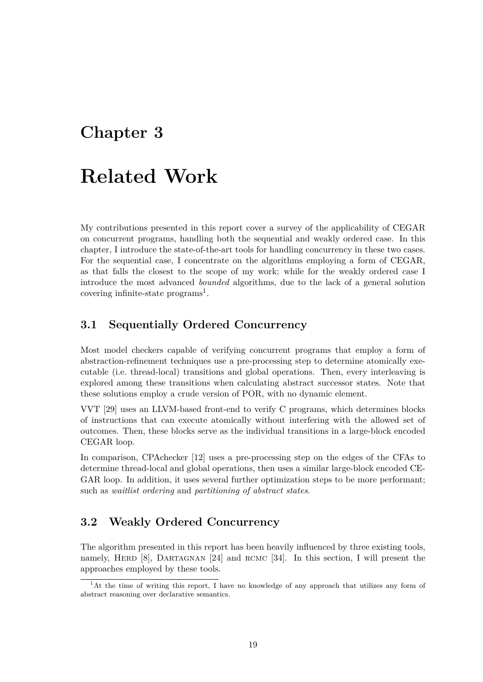## <span id="page-23-0"></span>**Chapter 3**

## **Related Work**

My contributions presented in this report cover a survey of the applicability of CEGAR on concurrent programs, handling both the sequential and weakly ordered case. In this chapter, I introduce the state-of-the-art tools for handling concurrency in these two cases. For the sequential case, I concentrate on the algorithms employing a form of CEGAR, as that falls the closest to the scope of my work; while for the weakly ordered case I introduce the most advanced *bounded* algorithms, due to the lack of a general solution covering infinite-state  $\text{programs}^1$ .

## **3.1 Sequentially Or[de](#page-23-4)red Concurrency**

<span id="page-23-1"></span>Most model checkers capable of verifying concurrent programs that employ a form of abstraction-refinement techniques use a pre-processing step to determine atomically executable (i.e. thread-local) transitions and global operations. Then, every interleaving is explored among these transitions when calculating abstract successor states. Note that these solutions employ a crude version of POR, with no dynamic element.

VVT [29] uses an LLVM-based front-end to verify C programs, which determines blocks of instructions that can execute atomically without interfering with the allowed set of outcomes. Then, these blocks serve as the individual transitions in a large-block encoded CEG[AR](#page-49-8) loop.

In comparison, CPAchecker [12] uses a pre-processing step on the edges of the CFAs to determine thread-local and global operations, then uses a similar large-block encoded CE-GAR loop. In addition, it uses several further optimization steps to be more performant; such as *waitlist ordering* and *[pa](#page-48-7)rtitioning of abstract states*.

### **3.2 Weakly Ordered Concurrency**

<span id="page-23-2"></span>The algorithm presented in this report has been heavily influenced by three existing tools, namely, HERD  $[8]$ , DARTAGNAN  $[24]$  and RCMC  $[34]$ . In this section, I will present the approaches employed by these tools.

<span id="page-23-4"></span><span id="page-23-3"></span><sup>&</sup>lt;sup>1</sup>At the time of writing this report, I have no knowledge of any approach that utilizes any form of abstract reasoning [ov](#page-48-6)er declarative sem[anti](#page-49-5)cs.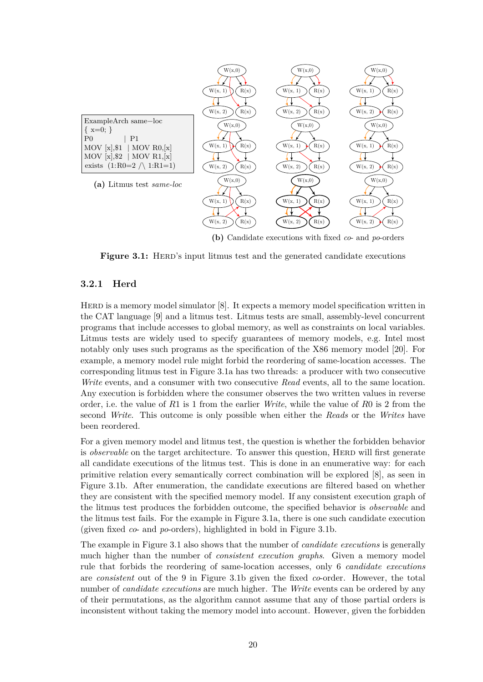<span id="page-24-0"></span>

**(b)** Candidate executions with fixed *co*- and *po*-orders

**Figure 3.1:** HERD's input litmus test and the generated candidate executions

#### **3.2.1 Herd**

HERD is a memory model simulator [8]. It expects a memory model specification written in the CAT language [9] and a litmus test. Litmus tests are small, assembly-level concurrent programs that include accesses to global memory, as well as constraints on local variables. Litmus tests are widely used to specify guarantees of memory models, e.g. Intel most notably only uses such programs as [t](#page-48-6)he specification of the X86 memory model [20]. For example, a memory [m](#page-48-8)odel rule might forbid the reordering of same-location accesses. The corresponding litmus test in Figure 3.1a has two threads: a producer with two consecutive *Write* events, and a consumer with two consecutive *Read* events, all to the same location. Any execution is forbidden where the consumer observes the two written values i[n re](#page-49-9)verse order, i.e. the value of *R*1 is 1 from the earlier *Write*, while the value of *R*0 is 2 from the second *Write*. This outcome is on[ly po](#page-24-0)ssible when either the *Reads* or the *Writes* have been reordered.

For a given memory model and litmus test, the question is whether the forbidden behavior is *observable* on the target architecture. To answer this question, HERD will first generate all candidate executions of the litmus test. This is done in an enumerative way: for each primitive relation every semantically correct combination will be explored [8], as seen in Figure 3.1b. After enumeration, the candidate executions are filtered based on whether they are consistent with the specified memory model. If any consistent execution graph of the litmus test produces the forbidden outcome, the specified behavior is *observable* and the litmus test fails. For the example in Figure 3.1a, there is one such candid[a](#page-48-6)te execution (given [fixed](#page-24-0) *co*- and *po*-orders), highlighted in bold in Figure 3.1b.

The example in Figure 3.1 also shows that the number of *candidate executions* is generally much higher than the number of *consistent e[xecu](#page-24-0)tion graphs*. Given a memory model rule that forbids the reordering of same-location accesses, [only](#page-24-0) 6 *candidate executions* are *consistent* out of the 9 in Figure 3.1b given the fixed *co*-order. However, the total number of *candidate e[xecu](#page-24-0)tions* are much higher. The *Write* events can be ordered by any of their permutations, as the algorithm cannot assume that any of those partial orders is inconsistent without taking the memor[y mo](#page-24-0)del into account. However, given the forbidden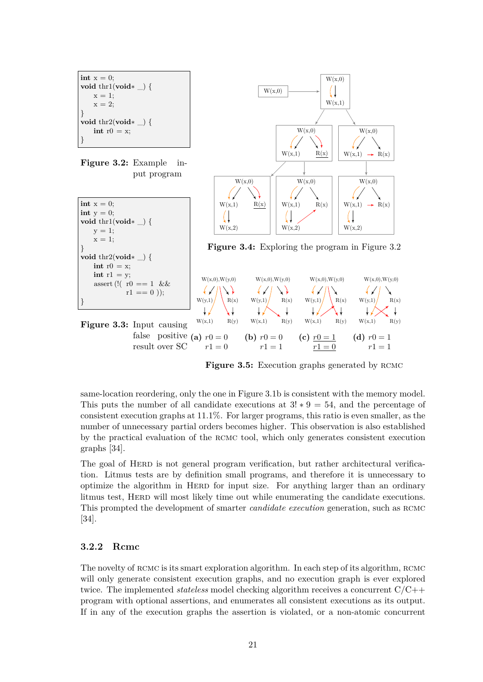<span id="page-25-2"></span><span id="page-25-1"></span>

<span id="page-25-3"></span>

<span id="page-25-4"></span>**Figure 3.5:** Execution graphs generated by RCMC

 $W(x,0),W(y,0)$  $W(x,0),W(y,0)$ 

same-location reordering, only the one in Figure 3.1b is consistent with the memory model. This puts the number of all candidate executions at 3! *∗* 9 = 54, and the percentage of consistent execution graphs at 11*.*1%. For larger programs, this ratio is even smaller, as the number of unnecessary partial orders becomes higher. This observation is also established by the practical evaluation of the rcmc tool, [which](#page-24-0) only generates consistent execution graphs [34].

The goal of HERD is not general program verification, but rather architectural verification. Litmus tests are by definition small programs, and therefore it is unnecessary to optimiz[e t](#page-50-6)he algorithm in HERD for input size. For anything larger than an ordinary litmus test, HERD will most likely time out while enumerating the candidate executions. This prompted the development of smarter *candidate execution* generation, such as rcmc [34].

#### **3.2.2 Rcmc**

<span id="page-25-0"></span>[Th](#page-50-6)e novelty of RCMC is its smart exploration algorithm. In each step of its algorithm, RCMC will only generate consistent execution graphs, and no execution graph is ever explored twice. The implemented *stateless* model checking algorithm receives a concurrent C/C++ program with optional assertions, and enumerates all consistent executions as its output. If in any of the execution graphs the assertion is violated, or a non-atomic concurrent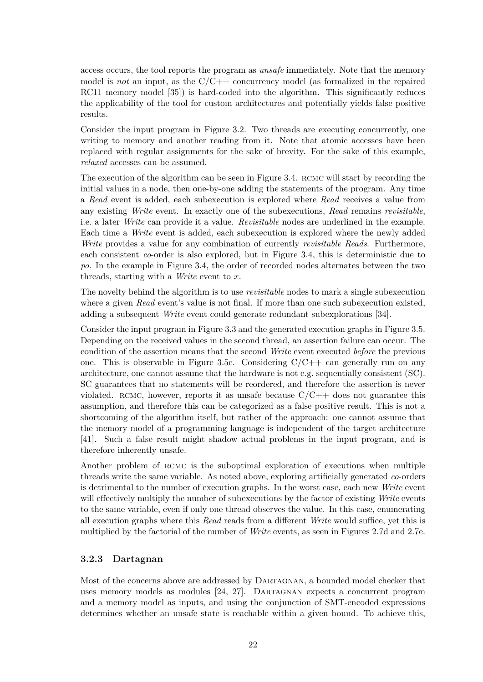access occurs, the tool reports the program as *unsafe* immediately. Note that the memory model is *not* an input, as the C/C++ concurrency model (as formalized in the repaired RC11 memory model [35]) is hard-coded into the algorithm. This significantly reduces the applicability of the tool for custom architectures and potentially yields false positive results.

Consider the input pr[ogra](#page-50-7)m in Figure 3.2. Two threads are executing concurrently, one writing to memory and another reading from it. Note that atomic accesses have been replaced with regular assignments for the sake of brevity. For the sake of this example, *relaxed* accesses can be assumed.

The execution of the algorithm can be s[een](#page-25-1) in Figure 3.4. rcmc will start by recording the initial values in a node, then one-by-one adding the statements of the program. Any time a *Read* event is added, each subexecution is explored where *Read* receives a value from any existing *Write* event. In exactly one of the subexecutions, *Read* remains *revisitable*, i.e. a later *Write* can provide it a value. *Revisitable* [nod](#page-25-2)es are underlined in the example. Each time a *Write* event is added, each subexecution is explored where the newly added *Write* provides a value for any combination of currently *revisitable Reads*. Furthermore, each consistent *co*-order is also explored, but in Figure 3.4, this is deterministic due to *po*. In the example in Figure 3.4, the order of recorded nodes alternates between the two threads, starting with a *Write* event to *x*.

The novelty behind the algorithm is to use *revisitable* no[des t](#page-25-2)o mark a single subexecution where a given *Read* event's v[alue](#page-25-2) is not final. If more than one such subexecution existed, adding a subsequent *Write* event could generate redundant subexplorations [34].

Consider the input program in Figure 3.3 and the generated execution graphs in Figure 3.5. Depending on the received values in the second thread, an assertion failure can occur. The condition of the assertion means that the second *Write* event executed *before* [the](#page-50-6) previous one. This is observable in Figure 3.5c. Considering  $C/C++$  can generally run on any architecture, one cannot assume that [the](#page-25-3) hardware is not e.g. sequentially consistent ([SC\)](#page-25-4). SC guarantees that no statements will be reordered, and therefore the assertion is never violated. RCMC, however, reports it as unsafe because  $C/C++$  does not guarantee this assumption, and therefore this can [be c](#page-25-4)ategorized as a false positive result. This is not a shortcoming of the algorithm itself, but rather of the approach: one cannot assume that the memory model of a programming language is independent of the target architecture [41]. Such a false result might shadow actual problems in the input program, and is therefore inherently unsafe.

Another problem of RCMC is the suboptimal exploration of executions when multiple [thr](#page-50-8)eads write the same variable. As noted above, exploring artificially generated *co*-orders is detrimental to the number of execution graphs. In the worst case, each new *Write* event will effectively multiply the number of subexecutions by the factor of existing *Write* events to the same variable, even if only one thread observes the value. In this case, enumerating all execution graphs where this *Read* reads from a different *Write* would suffice, yet this is multiplied by the factorial of the number of *Write* events, as seen in Figures 2.7d and 2.7e.

#### **3.2.3 Dartagnan**

<span id="page-26-0"></span>Most of the concerns above are addressed by Dartagnan, a bounded mod[el che](#page-18-0)cker [that](#page-18-0) uses memory models as modules [24, 27]. DARTAGNAN expects a concurrent program and a memory model as inputs, and using the conjunction of SMT-encoded expressions determines whether an unsafe state is reachable within a given bound. To achieve this,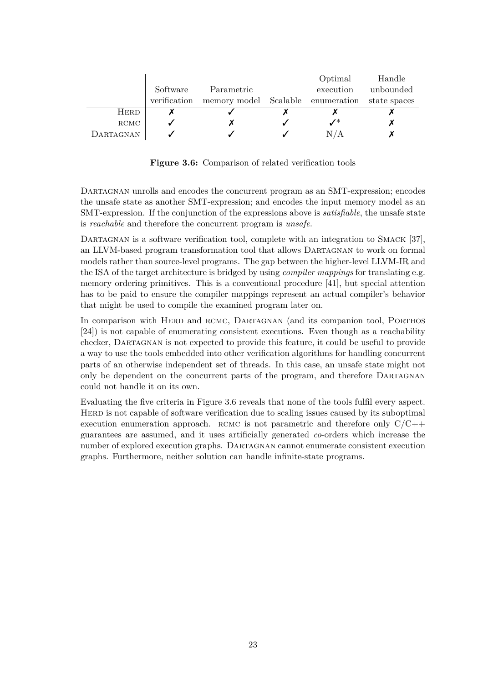<span id="page-27-0"></span>

|             |              |                                                | Optimal         | Handle    |
|-------------|--------------|------------------------------------------------|-----------------|-----------|
|             | Software     | Parametric                                     | execution       | unbounded |
|             | verification | memory model Scalable enumeration state spaces |                 |           |
| <b>HERD</b> |              |                                                |                 |           |
| RCMC        |              |                                                | $\mathcal{N}^*$ |           |
| DARTAGNAN   |              |                                                | N/A             |           |

**Figure 3.6:** Comparison of related verification tools

DARTAGNAN unrolls and encodes the concurrent program as an SMT-expression; encodes the unsafe state as another SMT-expression; and encodes the input memory model as an SMT-expression. If the conjunction of the expressions above is *satisfiable*, the unsafe state is *reachable* and therefore the concurrent program is *unsafe*.

DARTAGNAN is a software verification tool, complete with an integration to SMACK [37], an LLVM-based program transformation tool that allows Dartagnan to work on formal models rather than source-level programs. The gap between the higher-level LLVM-IR and the ISA of the target architecture is bridged by using *compiler mappings* for translating e.g. memory ordering primitives. This is a conventional procedure [41], but special atten[tio](#page-50-9)n has to be paid to ensure the compiler mappings represent an actual compiler's behavior that might be used to compile the examined program later on.

In c[om](#page-50-8)parison with HERD and RCMC, DARTAGNAN (and its companion tool, PORTHOS [24]) is not capable of enumerating consistent executions. Even though as a reachability checker, Dartagnan is not expected to provide this feature, it could be useful to provide a way to use the tools embedded into other verification algorithms for handling concurrent parts of an otherwise independent set of threads. In this case, an unsafe state might not [onl](#page-49-5)y be dependent on the concurrent parts of the program, and therefore Dartagnan could not handle it on its own.

Evaluating the five criteria in Figure 3.6 reveals that none of the tools fulfil every aspect. Herd is not capable of software verification due to scaling issues caused by its suboptimal execution enumeration approach. RCMC is not parametric and therefore only  $C/C++$ guarantees are assumed, and it uses artificially generated *co*-orders which increase the number of explored execution graphs. [Da](#page-27-0)rtagnan cannot enumerate consistent execution graphs. Furthermore, neither solution can handle infinite-state programs.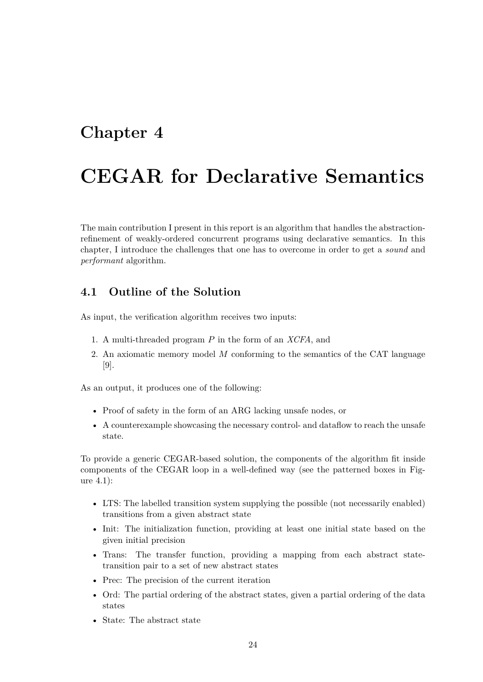## <span id="page-28-0"></span>**Chapter 4**

# **CEGAR for Declarative Semantics**

The main contribution I present in this report is an algorithm that handles the abstractionrefinement of weakly-ordered concurrent programs using declarative semantics. In this chapter, I introduce the challenges that one has to overcome in order to get a *sound* and *performant* algorithm.

## **4.1 Outline of the Solution**

As input, the verification algorithm receives two inputs:

- 1. A multi-threaded program *P* in the form of an *XCFA*, and
- 2. An axiomatic memory model *M* conforming to the semantics of the CAT language [9].

As an output, it produces one of the following:

- [Pr](#page-48-8)oof of safety in the form of an ARG lacking unsafe nodes, or
- A counterexample showcasing the necessary control- and dataflow to reach the unsafe state.

To provide a generic CEGAR-based solution, the components of the algorithm fit inside components of the CEGAR loop in a well-defined way (see the patterned boxes in Figure 4.1):

- LTS: The labelled transition system supplying the possible (not necessarily enabled) [tr](#page-29-1)ansitions from a given abstract state
- Init: The initialization function, providing at least one initial state based on the given initial precision
- Trans: The transfer function, providing a mapping from each abstract statetransition pair to a set of new abstract states
- Prec: The precision of the current iteration
- Ord: The partial ordering of the abstract states, given a partial ordering of the data states
- State: The abstract state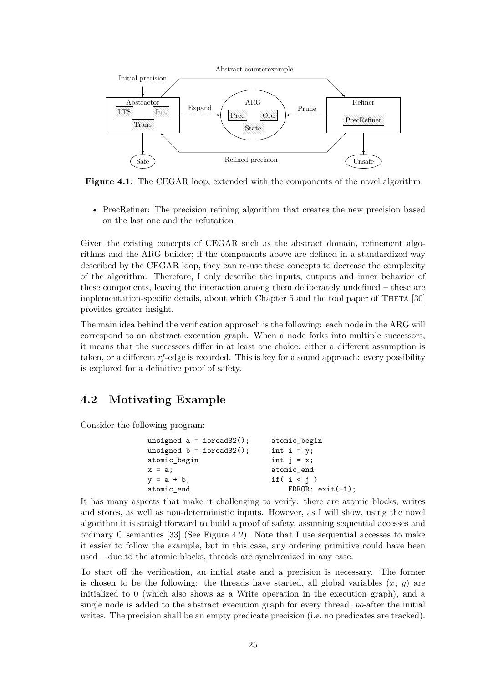<span id="page-29-1"></span>

**Figure 4.1:** The CEGAR loop, extended with the components of the novel algorithm

• PrecRefiner: The precision refining algorithm that creates the new precision based on the last one and the refutation

Given the existing concepts of CEGAR such as the abstract domain, refinement algorithms and the ARG builder; if the components above are defined in a standardized way described by the CEGAR loop, they can re-use these concepts to decrease the complexity of the algorithm. Therefore, I only describe the inputs, outputs and inner behavior of these components, leaving the interaction among them deliberately undefined – these are implementation-specific details, about which Chapter 5 and the tool paper of THETA [30] provides greater insight.

The main idea behind the verification approach is the following: each node in the ARG will correspond to an abstract execution graph. When a [no](#page-39-0)de forks into multiple success[ors](#page-49-1), it means that the successors differ in at least one choice: either a different assumption is taken, or a different *rf*-edge is recorded. This is key for a sound approach: every possibility is explored for a definitive proof of safety.

## **4.2 Motivating Example**

<span id="page-29-0"></span>Consider the following program:

| unsigned $a = i$ oread32(); | atomic_begin        |  |  |  |
|-----------------------------|---------------------|--|--|--|
| unsigned $b = i$ oread32(); | int $i = y$ ;       |  |  |  |
| atomic_begin                | int $i = x$ ;       |  |  |  |
| $x = a;$                    | atomic end          |  |  |  |
| $y = a + b$ ;               | if $(i < i)$        |  |  |  |
| atomic end                  | ERROR: $exit(-1)$ ; |  |  |  |

It has many aspects that make it challenging to verify: there are atomic blocks, writes and stores, as well as non-deterministic inputs. However, as I will show, using the novel algorithm it is straightforward to build a proof of safety, assuming sequential accesses and ordinary C semantics [33] (See Figure 4.2). Note that I use sequential accesses to make it easier to follow the example, but in this case, any ordering primitive could have been used – due to the atomic blocks, threads are synchronized in any case.

To start off the verifi[cati](#page-50-3)on, an initia[l st](#page-30-0)ate and a precision is necessary. The former is chosen to be the following: the threads have started, all global variables  $(x, y)$  are initialized to 0 (which also shows as a Write operation in the execution graph), and a single node is added to the abstract execution graph for every thread, *po*-after the initial writes. The precision shall be an empty predicate precision (i.e. no predicates are tracked).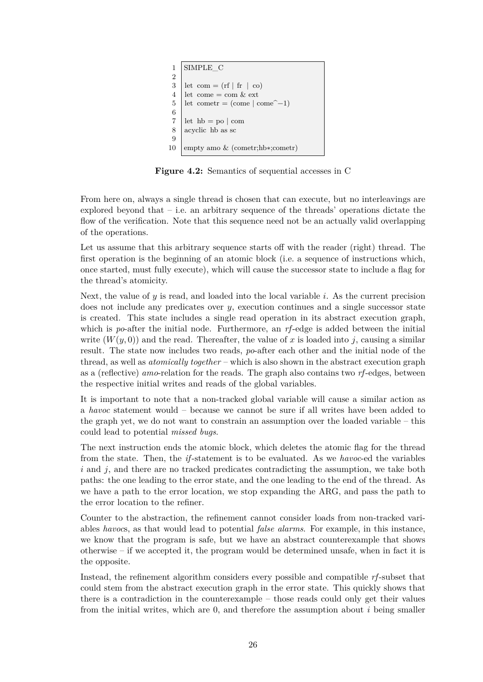<span id="page-30-0"></span>

**Figure 4.2:** Semantics of sequential accesses in C

From here on, always a single thread is chosen that can execute, but no interleavings are explored beyond that  $-$  i.e. an arbitrary sequence of the threads' operations dictate the flow of the verification. Note that this sequence need not be an actually valid overlapping of the operations.

Let us assume that this arbitrary sequence starts off with the reader (right) thread. The first operation is the beginning of an atomic block (i.e. a sequence of instructions which, once started, must fully execute), which will cause the successor state to include a flag for the thread's atomicity.

Next, the value of *y* is read, and loaded into the local variable *i*. As the current precision does not include any predicates over *y*, execution continues and a single successor state is created. This state includes a single read operation in its abstract execution graph, which is *po*-after the initial node. Furthermore, an *rf*-edge is added between the initial write  $(W(y, 0))$  and the read. Thereafter, the value of x is loaded into *j*, causing a similar result. The state now includes two reads, *po*-after each other and the initial node of the thread, as well as *atomically together* – which is also shown in the abstract execution graph as a (reflective) *amo*-relation for the reads. The graph also contains two *rf*-edges, between the respective initial writes and reads of the global variables.

It is important to note that a non-tracked global variable will cause a similar action as a *havoc* statement would – because we cannot be sure if all writes have been added to the graph yet, we do not want to constrain an assumption over the loaded variable – this could lead to potential *missed bugs*.

The next instruction ends the atomic block, which deletes the atomic flag for the thread from the state. Then, the *if*-statement is to be evaluated. As we *havoc*-ed the variables *i* and *j*, and there are no tracked predicates contradicting the assumption, we take both paths: the one leading to the error state, and the one leading to the end of the thread. As we have a path to the error location, we stop expanding the ARG, and pass the path to the error location to the refiner.

Counter to the abstraction, the refinement cannot consider loads from non-tracked variables *havoc*s, as that would lead to potential *false alarms*. For example, in this instance, we know that the program is safe, but we have an abstract counterexample that shows otherwise – if we accepted it, the program would be determined unsafe, when in fact it is the opposite.

Instead, the refinement algorithm considers every possible and compatible *rf*-subset that could stem from the abstract execution graph in the error state. This quickly shows that there is a contradiction in the counterexample – those reads could only get their values from the initial writes, which are 0, and therefore the assumption about *i* being smaller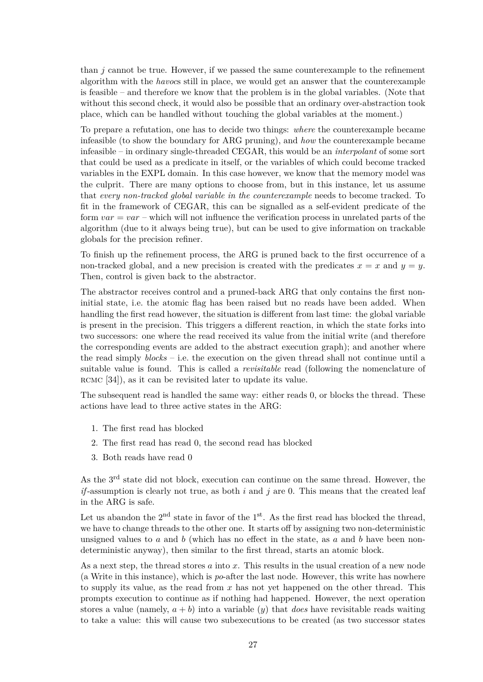than *j* cannot be true. However, if we passed the same counterexample to the refinement algorithm with the *havoc*s still in place, we would get an answer that the counterexample is feasible – and therefore we know that the problem is in the global variables. (Note that without this second check, it would also be possible that an ordinary over-abstraction took place, which can be handled without touching the global variables at the moment.)

To prepare a refutation, one has to decide two things: *where* the counterexample became infeasible (to show the boundary for ARG pruning), and *how* the counterexample became infeasible – in ordinary single-threaded CEGAR, this would be an *interpolant* of some sort that could be used as a predicate in itself, or the variables of which could become tracked variables in the EXPL domain. In this case however, we know that the memory model was the culprit. There are many options to choose from, but in this instance, let us assume that *every non-tracked global variable in the counterexample* needs to become tracked. To fit in the framework of CEGAR, this can be signalled as a self-evident predicate of the form *var* = *var* – which will not influence the verification process in unrelated parts of the algorithm (due to it always being true), but can be used to give information on trackable globals for the precision refiner.

To finish up the refinement process, the ARG is pruned back to the first occurrence of a non-tracked global, and a new precision is created with the predicates  $x = x$  and  $y = y$ . Then, control is given back to the abstractor.

The abstractor receives control and a pruned-back ARG that only contains the first noninitial state, i.e. the atomic flag has been raised but no reads have been added. When handling the first read however, the situation is different from last time: the global variable is present in the precision. This triggers a different reaction, in which the state forks into two successors: one where the read received its value from the initial write (and therefore the corresponding events are added to the abstract execution graph); and another where the read simply *blocks* – i.e. the execution on the given thread shall not continue until a suitable value is found. This is called a *revisitable* read (following the nomenclature of RCMC [34]), as it can be revisited later to update its value.

The subsequent read is handled the same way: either reads 0, or blocks the thread. These actions have lead to three active states in the ARG:

- 1. [The](#page-50-6) first read has blocked
- 2. The first read has read 0, the second read has blocked
- 3. Both reads have read 0

As the 3rd state did not block, execution can continue on the same thread. However, the *if*-assumption is clearly not true, as both *i* and *j* are 0. This means that the created leaf in the ARG is safe.

Let us abandon the  $2<sup>nd</sup>$  state in favor of the  $1<sup>st</sup>$ . As the first read has blocked the thread, we have to change threads to the other one. It starts off by assigning two non-deterministic unsigned values to *a* and *b* (which has no effect in the state, as *a* and *b* have been nondeterministic anyway), then similar to the first thread, starts an atomic block.

As a next step, the thread stores *a* into *x*. This results in the usual creation of a new node (a Write in this instance), which is *po*-after the last node. However, this write has nowhere to supply its value, as the read from *x* has not yet happened on the other thread. This prompts execution to continue as if nothing had happened. However, the next operation stores a value (namely,  $a + b$ ) into a variable (*y*) that *does* have revisitable reads waiting to take a value: this will cause two subexecutions to be created (as two successor states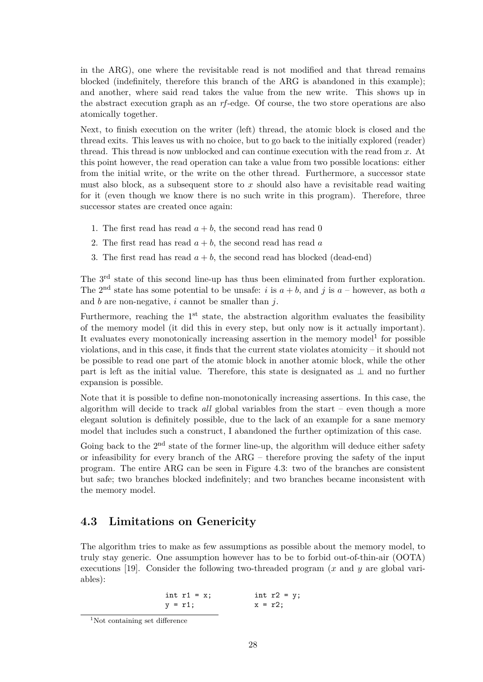in the ARG), one where the revisitable read is not modified and that thread remains blocked (indefinitely, therefore this branch of the ARG is abandoned in this example); and another, where said read takes the value from the new write. This shows up in the abstract execution graph as an *rf*-edge. Of course, the two store operations are also atomically together.

Next, to finish execution on the writer (left) thread, the atomic block is closed and the thread exits. This leaves us with no choice, but to go back to the initially explored (reader) thread. This thread is now unblocked and can continue execution with the read from *x*. At this point however, the read operation can take a value from two possible locations: either from the initial write, or the write on the other thread. Furthermore, a successor state must also block, as a subsequent store to *x* should also have a revisitable read waiting for it (even though we know there is no such write in this program). Therefore, three successor states are created once again:

- 1. The first read has read  $a + b$ , the second read has read 0
- 2. The first read has read  $a + b$ , the second read has read a
- 3. The first read has read  $a + b$ , the second read has blocked (dead-end)

The 3<sup>rd</sup> state of this second line-up has thus been eliminated from further exploration. The 2<sup>nd</sup> state has some potential to be unsafe: *i* is  $a + b$ , and *j* is  $a -$  however, as both *a* and *b* are non-negative, *i* cannot be smaller than *j*.

Furthermore, reaching the  $1<sup>st</sup>$  state, the abstraction algorithm evaluates the feasibility of the memory model (it did this in every step, but only now is it actually important). It evaluates every monotonically increasing assertion in the memory model<sup>1</sup> for possible violations, and in this case, it finds that the current state violates atomicity – it should not be possible to read one part of the atomic block in another atomic block, while the other part is left as the initial value. Therefore, this state is designated as *⊥* a[nd](#page-32-1) no further expansion is possible.

Note that it is possible to define non-monotonically increasing assertions. In this case, the algorithm will decide to track *all* global variables from the start – even though a more elegant solution is definitely possible, due to the lack of an example for a sane memory model that includes such a construct, I abandoned the further optimization of this case.

Going back to the  $2<sup>nd</sup>$  state of the former line-up, the algorithm will deduce either safety or infeasibility for every branch of the ARG – therefore proving the safety of the input program. The entire ARG can be seen in Figure 4.3: two of the branches are consistent but safe; two branches blocked indefinitely; and two branches became inconsistent with the memory model.

## **4.3 Limitations on Genericity**

<span id="page-32-0"></span>The algorithm tries to make as few assumptions as possible about the memory model, to truly stay generic. One assumption however has to be to forbid out-of-thin-air (OOTA) executions [19]. Consider the following two-threaded program (*x* and *y* are global variables):

$$
int r1 = x; \qquad int r2 = y; \qquad x = r2;
$$

<span id="page-32-1"></span><sup>&</sup>lt;sup>1</sup>Not containing set difference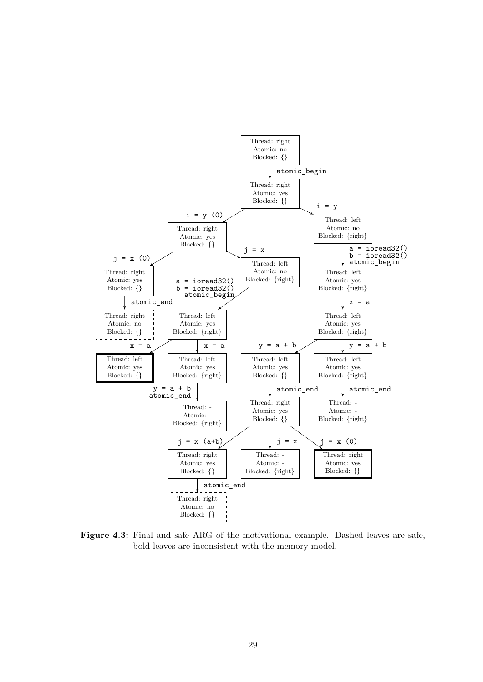

**Figure 4.3:** Final and safe ARG of the motivational example. Dashed leaves are safe, bold leaves are inconsistent with the memory model.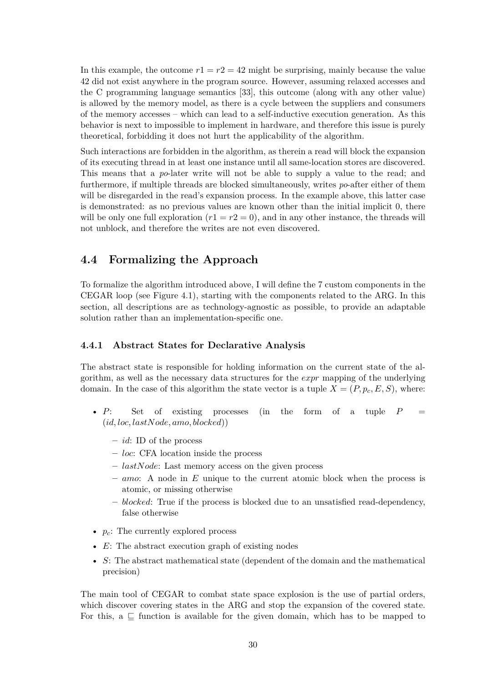In this example, the outcome  $r1 = r2 = 42$  might be surprising, mainly because the value 42 did not exist anywhere in the program source. However, assuming relaxed accesses and the C programming language semantics [33], this outcome (along with any other value) is allowed by the memory model, as there is a cycle between the suppliers and consumers of the memory accesses – which can lead to a self-inductive execution generation. As this behavior is next to impossible to implement in hardware, and therefore this issue is purely theoretical, forbidding it does not hurt th[e a](#page-50-3)pplicability of the algorithm.

Such interactions are forbidden in the algorithm, as therein a read will block the expansion of its executing thread in at least one instance until all same-location stores are discovered. This means that a *po*-later write will not be able to supply a value to the read; and furthermore, if multiple threads are blocked simultaneously, writes *po*-after either of them will be disregarded in the read's expansion process. In the example above, this latter case is demonstrated: as no previous values are known other than the initial implicit 0, there will be only one full exploration  $(r1 = r2 = 0)$ , and in any other instance, the threads will not unblock, and therefore the writes are not even discovered.

## **4.4 Formalizing the Approach**

<span id="page-34-0"></span>To formalize the algorithm introduced above, I will define the 7 custom components in the CEGAR loop (see Figure 4.1), starting with the components related to the ARG. In this section, all descriptions are as technology-agnostic as possible, to provide an adaptable solution rather than an implementation-specific one.

#### **4.4.1 Abstract Stat[es f](#page-29-1)or Declarative Analysis**

<span id="page-34-1"></span>The abstract state is responsible for holding information on the current state of the algorithm, as well as the necessary data structures for the *expr* mapping of the underlying domain. In the case of this algorithm the state vector is a tuple  $X = (P, p_c, E, S)$ , where:

- *P*: Set of existing processes (in the form of a tuple *P* (*id, loc, lastNode, amo, blocked*))
	- **–** *id*: ID of the process
	- **–** *loc*: CFA location inside the process
	- **–** *lastNode*: Last memory access on the given process
	- **–** *amo*: A node in *E* unique to the current atomic block when the process is atomic, or missing otherwise
	- **–** *blocked*: True if the process is blocked due to an unsatisfied read-dependency, false otherwise
- $p_c$ : The currently explored process
- *E*: The abstract execution graph of existing nodes
- *S*: The abstract mathematical state (dependent of the domain and the mathematical precision)

The main tool of CEGAR to combat state space explosion is the use of partial orders, which discover covering states in the ARG and stop the expansion of the covered state. For this,  $a \subseteq$  function is available for the given domain, which has to be mapped to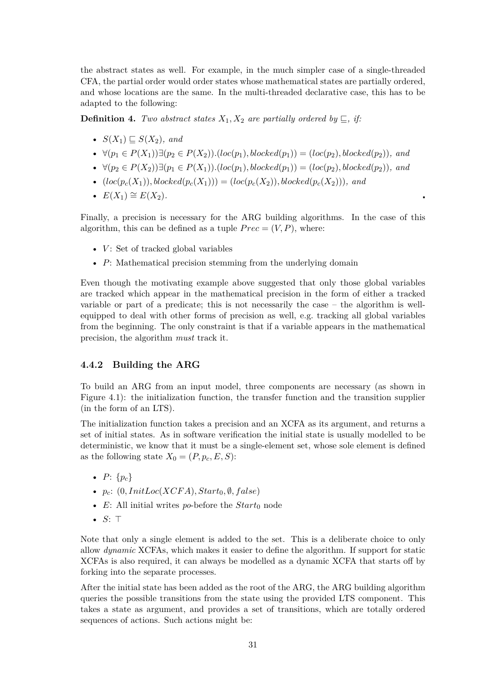the abstract states as well. For example, in the much simpler case of a single-threaded CFA, the partial order would order states whose mathematical states are partially ordered, and whose locations are the same. In the multi-threaded declarative case, this has to be adapted to the following:

**Definition 4.** *Two abstract states*  $X_1, X_2$  *are partially ordered by*  $\subseteq$ *, if:* 

- $S(X_1) \sqsubset S(X_2)$ , and
- $\forall (p_1 \in P(X_1)) \exists (p_2 \in P(X_2))$ .(*loc*(*p*<sub>1</sub>)*, blocked*(*p*<sub>1</sub>)) = (*loc*(*p*<sub>2</sub>)*, blocked*(*p*<sub>2</sub>))*, and*
- *∀*(*p*<sup>2</sup> *∈ P*(*X*2))*∃*(*p*<sup>1</sup> *∈ P*(*X*1))*.*(*loc*(*p*1)*, blocked*(*p*1)) = (*loc*(*p*2)*, blocked*(*p*2))*, and*
- $(loc(p_c(X_1)),blocked(p_c(X_1))) = (loc(p_c(X_2)),blocked(p_c(X_2))), and$
- $E(X_1) \cong E(X_2)$ .

Finally, a precision is necessary for the ARG building algorithms. In the case of this algorithm, this can be defined as a tuple  $Prec = (V, P)$ , where:

- *V*: Set of tracked global variables
- *P*: Mathematical precision stemming from the underlying domain

Even though the motivating example above suggested that only those global variables are tracked which appear in the mathematical precision in the form of either a tracked variable or part of a predicate; this is not necessarily the case – the algorithm is wellequipped to deal with other forms of precision as well, e.g. tracking all global variables from the beginning. The only constraint is that if a variable appears in the mathematical precision, the algorithm *must* track it.

#### **4.4.2 Building the ARG**

<span id="page-35-0"></span>To build an ARG from an input model, three components are necessary (as shown in Figure 4.1): the initialization function, the transfer function and the transition supplier (in the form of an LTS).

The initialization function takes a precision and an XCFA as its argument, and returns a set of i[niti](#page-29-1)al states. As in software verification the initial state is usually modelled to be deterministic, we know that it must be a single-element set, whose sole element is defined as the following state  $X_0 = (P, p_c, E, S)$ :

- $P: \{p_c\}$
- $p_c$ :  $(0,InitLoc(XCFA), Start_0, \emptyset, false)$
- $E$ : All initial writes *po*-before the  $Start_0$  node
- $S: \top$

Note that only a single element is added to the set. This is a deliberate choice to only allow *dynamic* XCFAs, which makes it easier to define the algorithm. If support for static XCFAs is also required, it can always be modelled as a dynamic XCFA that starts off by forking into the separate processes.

After the initial state has been added as the root of the ARG, the ARG building algorithm queries the possible transitions from the state using the provided LTS component. This takes a state as argument, and provides a set of transitions, which are totally ordered sequences of actions. Such actions might be: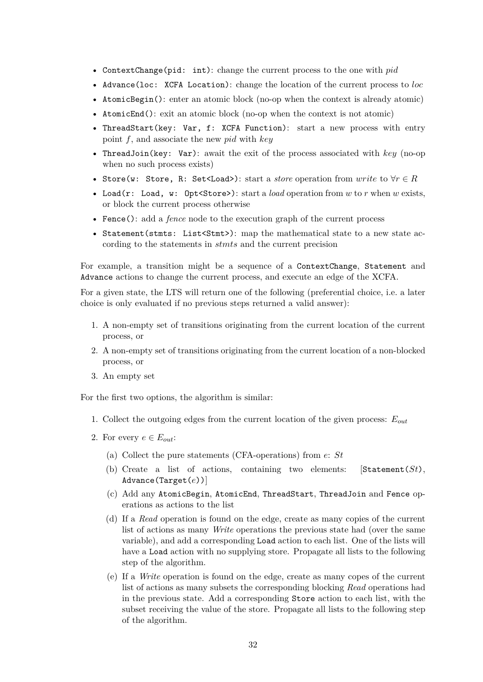- ContextChange(pid: int): change the current process to the one with *pid*
- Advance(loc: XCFA Location): change the location of the current process to *loc*
- AtomicBegin(): enter an atomic block (no-op when the context is already atomic)
- AtomicEnd(): exit an atomic block (no-op when the context is not atomic)
- ThreadStart(key: Var, f: XCFA Function): start a new process with entry point *f*, and associate the new *pid* with *key*
- ThreadJoin(key: Var): await the exit of the process associated with *key* (no-op when no such process exists)
- Store(w: Store, R: Set<Load>): start a *store* operation from *write* to *∀r ∈ R*
- Load(r: Load, w: Opt<Store>): start a *load* operation from *w* to *r* when *w* exists, or block the current process otherwise
- Fence(): add a *fence* node to the execution graph of the current process
- Statement(stmts: List<Stmt>): map the mathematical state to a new state according to the statements in *stmts* and the current precision

For example, a transition might be a sequence of a ContextChange, Statement and Advance actions to change the current process, and execute an edge of the XCFA.

For a given state, the LTS will return one of the following (preferential choice, i.e. a later choice is only evaluated if no previous steps returned a valid answer):

- 1. A non-empty set of transitions originating from the current location of the current process, or
- 2. A non-empty set of transitions originating from the current location of a non-blocked process, or
- 3. An empty set

For the first two options, the algorithm is similar:

- 1. Collect the outgoing edges from the current location of the given process: *Eout*
- 2. For every  $e \in E_{out}$ :
	- (a) Collect the pure statements (CFA-operations) from *e*: *St*
	- (b) Create a list of actions, containing two elements: [Statement(*St*), Advance(Target(*e*))]
	- (c) Add any AtomicBegin, AtomicEnd, ThreadStart, ThreadJoin and Fence operations as actions to the list
	- (d) If a *Read* operation is found on the edge, create as many copies of the current list of actions as many *Write* operations the previous state had (over the same variable), and add a corresponding Load action to each list. One of the lists will have a Load action with no supplying store. Propagate all lists to the following step of the algorithm.
	- (e) If a *Write* operation is found on the edge, create as many copes of the current list of actions as many subsets the corresponding blocking *Read* operations had in the previous state. Add a corresponding Store action to each list, with the subset receiving the value of the store. Propagate all lists to the following step of the algorithm.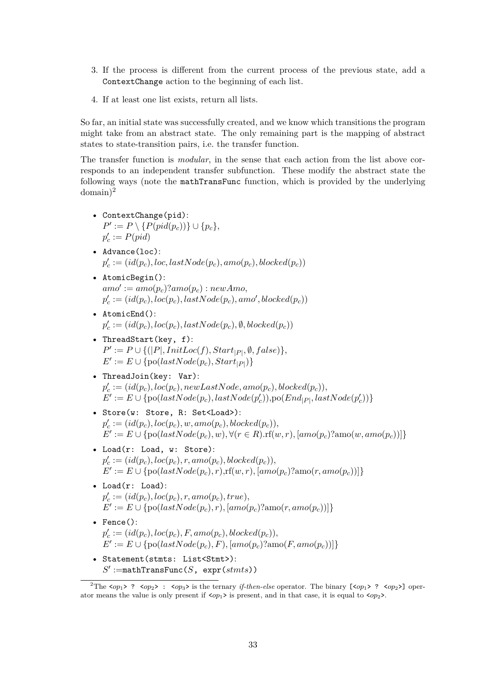- 3. If the process is different from the current process of the previous state, add a ContextChange action to the beginning of each list.
- 4. If at least one list exists, return all lists.

So far, an initial state was successfully created, and we know which transitions the program might take from an abstract state. The only remaining part is the mapping of abstract states to state-transition pairs, i.e. the transfer function.

The transfer function is *modular*, in the sense that each action from the list above corresponds to an independent transfer subfunction. These modify the abstract state the following ways (note the mathTransFunc function, which is provided by the underlying  $domain)^2$ 

- ContextChange(pid): *P*<sup> $\prime$ </sup> [:](#page-37-0)= *P*  $\setminus$  {*P*(*pid*(*p<sub>c</sub>*))}∪ {*p<sub>c</sub>*},  $p'_{c} := P(pid)$
- Advance(loc):  $p_c' := (id(p_c), loc, lastNode(p_c), amo(p_c), blocked(p_c))$
- AtomicBegin():  $amo' := amo(p_c)?amo(p_c) : newAmo,$  $p'_c := (id(p_c), loc(p_c), lastNode(p_c),amo', blocked(p_c))$
- AtomicEnd():  $p_c' := (id(p_c), loc(p_c), lastNode(p_c), \emptyset, blocked(p_c))$
- ThreadStart(key, f):  $P' := P \cup \{ (|P|,InitLoc(f), Start_{|P|}, \emptyset, false) \},$  $E' := E \cup \{ \text{po}(lastNode(p_c),Start_{|P|}) \}$
- ThreadJoin(key: Var):  $p_c' := (id(p_c), loc(p_c), newLastNode, amo(p_c), blocked(p_c)),$  $E' := E \cup \{ \text{po}(lastNode(p_c), lastNode(p_c')) \}, \text{po}(End_{|P|}, lastNode(p_c')) \}$
- Store(w: Store, R: Set<Load>):  $p_c' := (id(p_c), loc(p_c), w, amo(p_c), blocked(p_c)),$  $E' := E \cup \{p \circ (lastNode(p_c), w), \forall (r \in R). \text{rf}(w, r), [amo(p_c)? \text{amo}(w,amo(p_c))] \}$
- Load(r: Load, w: Store):  $p_c' := (id(p_c), loc(p_c), r, amo(p_c), blocked(p_c)),$  $E' := E \cup \{p \in (lastNode(p_c), r), \text{rf}(w, r), [amo(p_c)] \}$
- Load(r: Load):  $p'_c := (id(p_c), loc(p_c), r, amo(p_c), true),$  $E' := E \cup \{ \text{po}(lastNode(p_c), r), [amo(p_c)] \}$
- Fence():  $p_c' := (id(p_c), loc(p_c), F, amo(p_c), blocked(p_c)),$  $E' := E \cup \{p \circ (lastNode(p_c), F), [amo(p_c)] \}$
- Statement(stmts: List<Stmt>):  $S' :=$ mathTransFunc( $S$ , expr( $st m t s$ ))

<span id="page-37-0"></span><sup>&</sup>lt;sup>2</sup>The  $\langle op_1 \rangle$  ?  $\langle op_2 \rangle$  :  $\langle op_3 \rangle$  is the ternary *if-then-else* operator. The binary  $[\langle op_1 \rangle$  ?  $\langle op_2 \rangle]$  operator means the value is only present if <*op*1> is present, and in that case, it is equal to <*op*2>.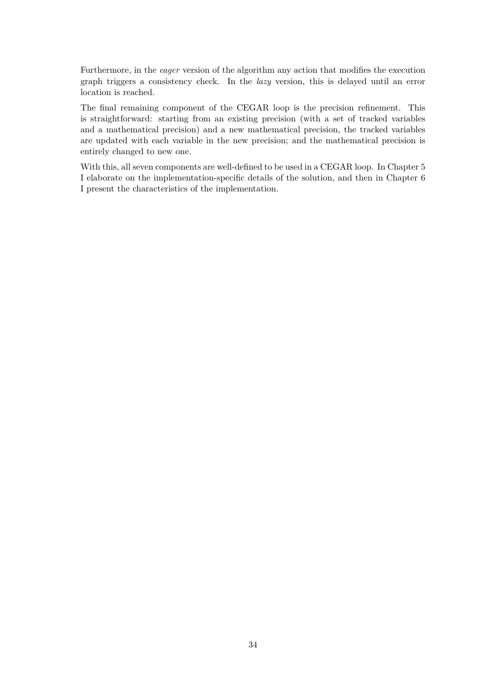Furthermore, in the *eager* version of the algorithm any action that modifies the execution graph triggers a consistency check. In the *lazy* version, this is delayed until an error location is reached.

The final remaining component of the CEGAR loop is the precision refinement. This is straightforward: starting from an existing precision (with a set of tracked variables and a mathematical precision) and a new mathematical precision, the tracked variables are updated with each variable in the new precision; and the mathematical precision is entirely changed to new one.

With this, all seven components are well-defined to be used in a CEGAR loop. In Chapter 5 I elaborate on the implementation-specific details of the solution, and then in Chapter 6 I present the characteristics of the implementation.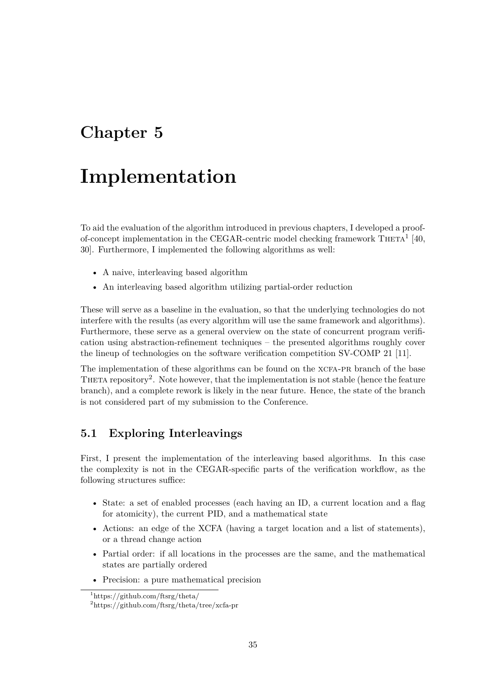## <span id="page-39-0"></span>**Chapter 5**

# **Implementation**

To aid the evaluation of the algorithm introduced in previous chapters, I developed a proofof-concept implementation in the CEGAR-centric model checking framework  $\text{Theta}^1$  [40, 30]. Furthermore, I implemented the following algorithms as well:

- A naive, interleaving based algorithm
- An interleaving based algorithm utilizing partial-order reduction

These will serve as a baseline in the evaluation, so that the underlying technologies do not interfere with the results (as every algorithm will use the same framework and algorithms). Furthermore, these serve as a general overview on the state of concurrent program verification using abstraction-refinement techniques – the presented algorithms roughly cover the lineup of technologies on the software verification competition SV-COMP 21 [11].

The implementation of these algorithms can be found on the XCFA-PR branch of the base THETA repository<sup>2</sup>. Note however, that the implementation is not stable (hence the feature branch), and a complete rework is likely in the near future. Hence, the state of the [br](#page-48-0)anch is not considered part of my submission to the Conference.

## **5.1 Exploring Interleavings**

<span id="page-39-1"></span>First, I present the implementation of the interleaving based algorithms. In this case the complexity is not in the CEGAR-specific parts of the verification workflow, as the following structures suffice:

- State: a set of enabled processes (each having an ID, a current location and a flag for atomicity), the current PID, and a mathematical state
- Actions: an edge of the XCFA (having a target location and a list of statements), or a thread change action
- Partial order: if all locations in the processes are the same, and the mathematical states are partially ordered
- Precision: a pure mathematical precision

<sup>1</sup>https://github.com/ftsrg/theta/

<sup>2</sup>https://github.com/ftsrg/theta/tree/xcfa-pr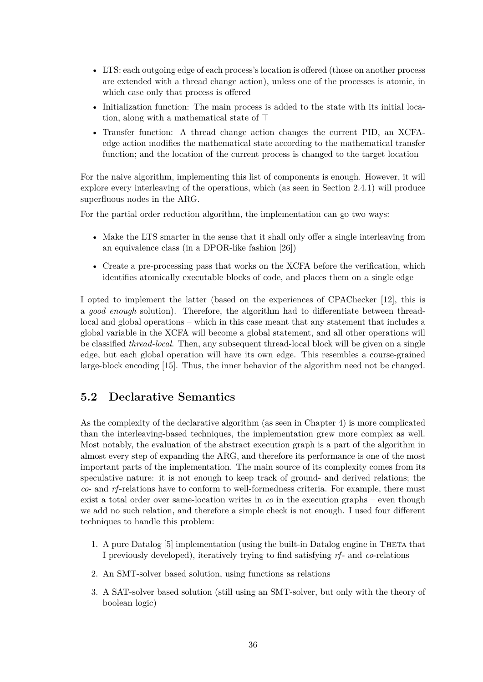- LTS: each outgoing edge of each process's location is offered (those on another process are extended with a thread change action), unless one of the processes is atomic, in which case only that process is offered
- Initialization function: The main process is added to the state with its initial location, along with a mathematical state of  $\top$
- Transfer function: A thread change action changes the current PID, an XCFAedge action modifies the mathematical state according to the mathematical transfer function; and the location of the current process is changed to the target location

For the naive algorithm, implementing this list of components is enough. However, it will explore every interleaving of the operations, which (as seen in Section 2.4.1) will produce superfluous nodes in the ARG.

For the partial order reduction algorithm, the implementation can go two ways:

- Make the LTS smarter in the sense that it shall only offer a singl[e inte](#page-19-1)rleaving from an equivalence class (in a DPOR-like fashion [26])
- Create a pre-processing pass that works on the XCFA before the verification, which identifies atomically executable blocks of code[, a](#page-49-7)nd places them on a single edge

I opted to implement the latter (based on the experiences of CPAChecker [12], this is a *good enough* solution). Therefore, the algorithm had to differentiate between threadlocal and global operations – which in this case meant that any statement that includes a global variable in the XCFA will become a global statement, and all other operations will be classified *thread-local*. Then, any subsequent thread-local block will be given [on](#page-48-7) a single edge, but each global operation will have its own edge. This resembles a course-grained large-block encoding [15]. Thus, the inner behavior of the algorithm need not be changed.

## **5.2 Declarati[ve](#page-48-4) Semantics**

<span id="page-40-0"></span>As the complexity of the declarative algorithm (as seen in Chapter 4) is more complicated than the interleaving-based techniques, the implementation grew more complex as well. Most notably, the evaluation of the abstract execution graph is a part of the algorithm in almost every step of expanding the ARG, and therefore its performance is one of the most important parts of the implementation. The main source of its co[mp](#page-28-0)lexity comes from its speculative nature: it is not enough to keep track of ground- and derived relations; the *co*- and *rf*-relations have to conform to well-formedness criteria. For example, there must exist a total order over same-location writes in *co* in the execution graphs – even though we add no such relation, and therefore a simple check is not enough. I used four different techniques to handle this problem:

- 1. A pure Datalog [5] implementation (using the built-in Datalog engine in Theta that I previously developed), iteratively trying to find satisfying *rf*- and *co*-relations
- 2. An SMT-solver based solution, using functions as relations
- 3. A SAT-solver b[ase](#page-47-3)d solution (still using an SMT-solver, but only with the theory of boolean logic)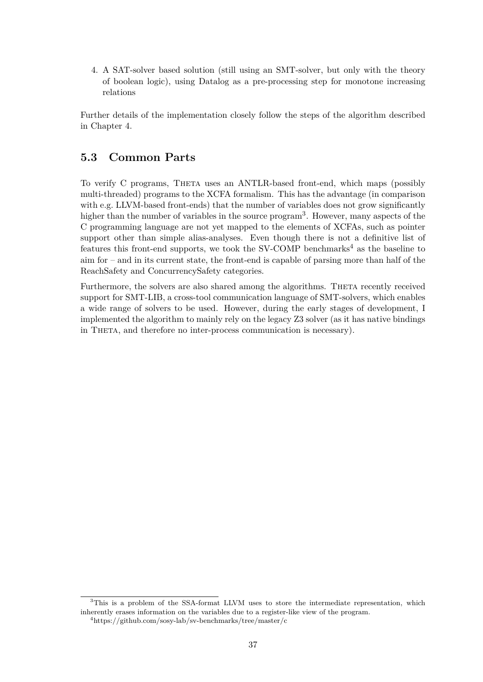4. A SAT-solver based solution (still using an SMT-solver, but only with the theory of boolean logic), using Datalog as a pre-processing step for monotone increasing relations

Further details of the implementation closely follow the steps of the algorithm described in Chapter 4.

## **5.3 Co[m](#page-28-0)mon Parts**

<span id="page-41-0"></span>To verify C programs, Theta uses an ANTLR-based front-end, which maps (possibly multi-threaded) programs to the XCFA formalism. This has the advantage (in comparison with e.g. LLVM-based front-ends) that the number of variables does not grow significantly higher than the number of variables in the source program<sup>3</sup>. However, many aspects of the C programming language are not yet mapped to the elements of XCFAs, such as pointer support other than simple alias-analyses. Even though there is not a definitive list of features this front-end supports, we took the SV-COMP [b](#page-41-1)enchmarks<sup>4</sup> as the baseline to aim for – and in its current state, the front-end is capable of parsing more than half of the ReachSafety and ConcurrencySafety categories.

Furthermore, the solvers are also shared among the algorithms. THETA recently received support for SMT-LIB, a cross-tool communication language of SMT-solvers, which enables a wide range of solvers to be used. However, during the early stages of development, I implemented the algorithm to mainly rely on the legacy Z3 solver (as it has native bindings in THETA, and therefore no inter-process communication is necessary).

<sup>&</sup>lt;sup>3</sup>This is a problem of the SSA-format LLVM uses to store the intermediate representation, which inherently erases information on the variables due to a register-like view of the program.

<span id="page-41-2"></span><span id="page-41-1"></span><sup>4</sup>https://github.com/sosy-lab/sv-benchmarks/tree/master/c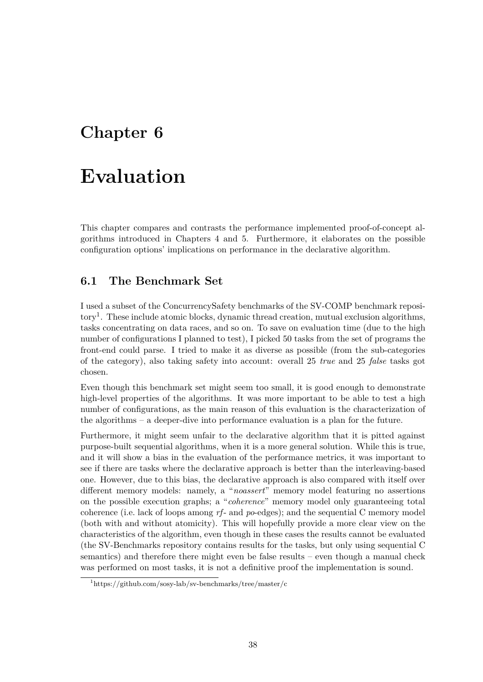## <span id="page-42-0"></span>**Chapter 6**

# **Evaluation**

This chapter compares and contrasts the performance implemented proof-of-concept algorithms introduced in Chapters 4 and 5. Furthermore, it elaborates on the possible configuration options' implications on performance in the declarative algorithm.

### **6.1 The Benchmark S[et](#page-28-0)**

<span id="page-42-1"></span>I used a subset of the ConcurrencySafety benchmarks of the SV-COMP benchmark repository<sup>1</sup>. These include atomic blocks, dynamic thread creation, mutual exclusion algorithms, tasks concentrating on data races, and so on. To save on evaluation time (due to the high number of configurations I planned to test), I picked 50 tasks from the set of programs the fron[t-](#page-42-2)end could parse. I tried to make it as diverse as possible (from the sub-categories of the category), also taking safety into account: overall 25 *true* and 25 *false* tasks got chosen.

Even though this benchmark set might seem too small, it is good enough to demonstrate high-level properties of the algorithms. It was more important to be able to test a high number of configurations, as the main reason of this evaluation is the characterization of the algorithms – a deeper-dive into performance evaluation is a plan for the future.

Furthermore, it might seem unfair to the declarative algorithm that it is pitted against purpose-built sequential algorithms, when it is a more general solution. While this is true, and it will show a bias in the evaluation of the performance metrics, it was important to see if there are tasks where the declarative approach is better than the interleaving-based one. However, due to this bias, the declarative approach is also compared with itself over different memory models: namely, a "*noassert*" memory model featuring no assertions on the possible execution graphs; a "*coherence*" memory model only guaranteeing total coherence (i.e. lack of loops among *rf*- and *po*-edges); and the sequential C memory model (both with and without atomicity). This will hopefully provide a more clear view on the characteristics of the algorithm, even though in these cases the results cannot be evaluated (the SV-Benchmarks repository contains results for the tasks, but only using sequential C semantics) and therefore there might even be false results – even though a manual check was performed on most tasks, it is not a definitive proof the implementation is sound.

<span id="page-42-2"></span><sup>1</sup>https://github.com/sosy-lab/sv-benchmarks/tree/master/c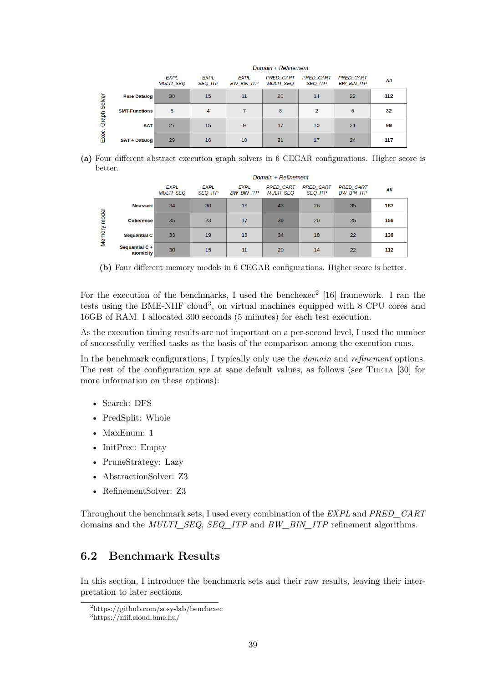|                |                      | <u> 8888888888888888888888888888</u> |                               |                           |                                      |                                    |                                       |     |
|----------------|----------------------|--------------------------------------|-------------------------------|---------------------------|--------------------------------------|------------------------------------|---------------------------------------|-----|
|                |                      | <b>EXPL</b><br><b>MULTI SEQ</b>      | <b>EXPL</b><br><b>SEQ ITP</b> | <b>EXPL</b><br>BW BIN ITP | <b>PRED CART</b><br><b>MULTI SEQ</b> | <b>PRED CART</b><br><b>SEQ ITP</b> | <b>PRED CART</b><br><b>BW BIN ITP</b> | All |
| ق              | <b>Pure Datalog</b>  | 30                                   | 15                            | 11                        | 20                                   | 14                                 | 22                                    | 112 |
| $rac{8}{2}$    | <b>SMT-Functions</b> | 5                                    | 4                             |                           | 8                                    | $\overline{2}$                     | 6                                     | 32  |
| Graph<br>Exec. | <b>SAT</b>           | 27                                   | 15                            | 9                         | 17                                   | 10                                 | 21                                    | 99  |
|                | <b>SAT + Datalog</b> | 29                                   | 16                            | 10                        | 21                                   | 17                                 | 24                                    | 117 |

Domain + Pefinement

**(a)** Four different abstract execution graph solvers in 6 CEGAR configurations. Higher score is better.

|        |                             |                                 | Domain + Refinement           |                                  |                                      |                                    |                                       |     |
|--------|-----------------------------|---------------------------------|-------------------------------|----------------------------------|--------------------------------------|------------------------------------|---------------------------------------|-----|
|        |                             | <b>EXPL</b><br><b>MULTI SEO</b> | <b>EXPL</b><br><b>SEQ_ITP</b> | <b>EXPL</b><br><b>BW BIN ITP</b> | <b>PRED CART</b><br><b>MULTI SEO</b> | <b>PRED CART</b><br><b>SEQ_ITP</b> | <b>PRED CART</b><br><b>BW BIN ITP</b> | All |
|        | <b>Noassert</b>             | 34                              | 30                            | 19                               | 43                                   | 26                                 | 35                                    | 187 |
| model  | <b>Coherence</b>            | 35                              | 23                            | 17                               | 39                                   | 20                                 | 25                                    | 159 |
| Memory | <b>Sequential C</b>         | 33                              | 19                            | 13                               | 34                                   | 18                                 | 22                                    | 139 |
|        | Sequantial C +<br>atomicity | 30                              | 15                            | 11                               | 20                                   | 14                                 | 22                                    | 112 |

**(b)** Four different memory models in 6 CEGAR configurations. Higher score is better.

For the execution of the benchmarks, I used the benchexec<sup>2</sup> [16] framework. I ran the tests using the BME-NIIF cloud<sup>3</sup>, on virtual machines equipped with 8 CPU cores and 16GB of RAM. I allocated 300 seconds (5 minutes) for each test execution.

As the execution timing results are not important on a per-se[co](#page-43-2)[nd l](#page-48-9)evel, I used the number of successfully verified tasks as t[he](#page-43-3) basis of the comparison among the execution runs.

In the benchmark configurations, I typically only use the *domain* and *refinement* options. The rest of the configuration are at sane default values, as follows (see THETA [30] for more information on these options):

- Search: DFS
- PredSplit: Whole
- MaxEnum: 1
- InitPrec: Empty
- PruneStrategy: Lazy
- AbstractionSolver: Z3
- RefinementSolver: Z3

Throughout the benchmark sets, I used every combination of the *EXPL* and *PRED\_CART* domains and the *MULTI\_SEQ*, *SEQ\_ITP* and *BW\_BIN\_ITP* refinement algorithms.

#### **6.2 Benchmark Results**

<span id="page-43-0"></span>In this section, I introduce the benchmark sets and their raw results, leaving their interpretation to later sections.

<sup>2</sup>https://github.com/sosy-lab/benchexec

<span id="page-43-3"></span><span id="page-43-2"></span><span id="page-43-1"></span><sup>3</sup>https://niif.cloud.bme.hu/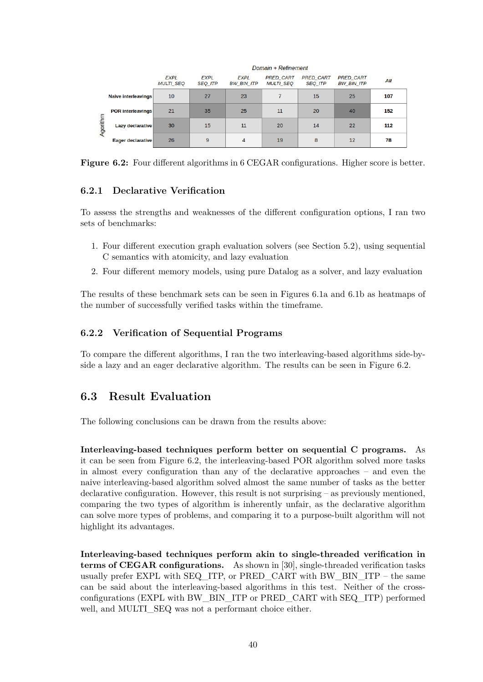<span id="page-44-2"></span>

|          |                            | Domain + Refinement             |                               |                           |                                      |                                    |                                       |     |
|----------|----------------------------|---------------------------------|-------------------------------|---------------------------|--------------------------------------|------------------------------------|---------------------------------------|-----|
|          |                            | <b>EXPL</b><br><b>MULTI SEQ</b> | <b>EXPL</b><br><b>SEQ ITP</b> | EXPL<br><b>BW BIN ITP</b> | <b>PRED CART</b><br><b>MULTI SEQ</b> | <b>PRED CART</b><br><b>SEQ ITP</b> | <b>PRED CART</b><br><b>BW BIN ITP</b> | All |
|          | <b>Naive interleavings</b> | 10                              | 27                            | 23                        | 7                                    | 15                                 | 25                                    | 107 |
| Agorithm | <b>POR interleavings</b>   | 21                              | 35                            | 25                        | 11                                   | 20                                 | 40                                    | 152 |
|          | <b>Lazy declarative</b>    | 30                              | 15                            | 11                        | 20                                   | 14                                 | 22                                    | 112 |
|          | Eager declarative          | 26                              | 9                             | 4                         | 19                                   | 8                                  | 12                                    | 78  |

**Figure 6.2:** Four different algorithms in 6 CEGAR configurations. Higher score is better.

#### **6.2.1 Declarative Verification**

To assess the strengths and weaknesses of the different configuration options, I ran two sets of benchmarks:

- 1. Four different execution graph evaluation solvers (see Section 5.2), using sequential C semantics with atomicity, and lazy evaluation
- 2. Four different memory models, using pure Datalog as a solver, and lazy evaluation

The results of these benchmark sets can be seen in Figures 6.1a and [6.](#page-40-0)1b as heatmaps of the number of successfully verified tasks within the timeframe.

#### **6.2.2 Verification of Sequential Programs**

<span id="page-44-0"></span>To compare the different algorithms, I ran the two interleaving-based algorithms side-byside a lazy and an eager declarative algorithm. The results can be seen in Figure 6.2.

## **6.3 Result Evaluation**

<span id="page-44-1"></span>The following conclusions can be drawn from the results above:

**Interleaving-based techniques perform better on sequential C programs.** As it can be seen from Figure 6.2, the interleaving-based POR algorithm solved more tasks in almost every configuration than any of the declarative approaches – and even the naive interleaving-based algorithm solved almost the same number of tasks as the better declarative configuration. However, this result is not surprising – as previously mentioned, comparing the two types o[f al](#page-44-2)gorithm is inherently unfair, as the declarative algorithm can solve more types of problems, and comparing it to a purpose-built algorithm will not highlight its advantages.

**Interleaving-based techniques perform akin to single-threaded verification in terms of CEGAR configurations.** As shown in [30], single-threaded verification tasks usually prefer EXPL with SEQ\_ITP, or PRED\_CART with BW\_BIN\_ITP – the same can be said about the interleaving-based algorithms in this test. Neither of the crossconfigurations (EXPL with BW\_BIN\_ITP or PRED\_CART with SEQ\_ITP) performed well, and MULTI\_SEQ was not a performant choic[e ei](#page-49-1)ther.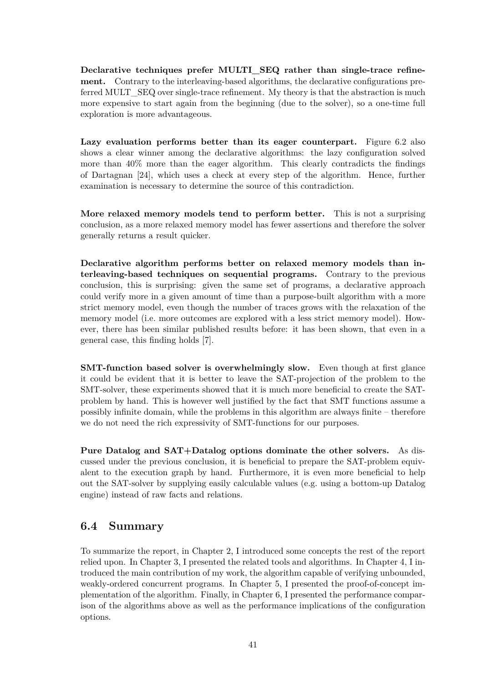**Declarative techniques prefer MULTI\_SEQ rather than single-trace refinement.** Contrary to the interleaving-based algorithms, the declarative configurations preferred MULT\_SEQ over single-trace refinement. My theory is that the abstraction is much more expensive to start again from the beginning (due to the solver), so a one-time full exploration is more advantageous.

Lazy evaluation performs better than its eager counterpart. Figure 6.2 also shows a clear winner among the declarative algorithms: the lazy configuration solved more than 40% more than the eager algorithm. This clearly contradicts the findings of Dartagnan [24], which uses a check at every step of the algorithm. Hence, [fur](#page-44-2)ther examination is necessary to determine the source of this contradiction.

**More relaxe[d m](#page-49-5)emory models tend to perform better.** This is not a surprising conclusion, as a more relaxed memory model has fewer assertions and therefore the solver generally returns a result quicker.

**Declarative algorithm performs better on relaxed memory models than interleaving-based techniques on sequential programs.** Contrary to the previous conclusion, this is surprising: given the same set of programs, a declarative approach could verify more in a given amount of time than a purpose-built algorithm with a more strict memory model, even though the number of traces grows with the relaxation of the memory model (i.e. more outcomes are explored with a less strict memory model). However, there has been similar published results before: it has been shown, that even in a general case, this finding holds [7].

**SMT-function based solver is overwhelmingly slow.** Even though at first glance it could be evident that it is b[et](#page-47-1)ter to leave the SAT-projection of the problem to the SMT-solver, these experiments showed that it is much more beneficial to create the SATproblem by hand. This is however well justified by the fact that SMT functions assume a possibly infinite domain, while the problems in this algorithm are always finite – therefore we do not need the rich expressivity of SMT-functions for our purposes.

**Pure Datalog and SAT+Datalog options dominate the other solvers.** As discussed under the previous conclusion, it is beneficial to prepare the SAT-problem equivalent to the execution graph by hand. Furthermore, it is even more beneficial to help out the SAT-solver by supplying easily calculable values (e.g. using a bottom-up Datalog engine) instead of raw facts and relations.

## **6.4 Summary**

<span id="page-45-0"></span>To summarize the report, in Chapter 2, I introduced some concepts the rest of the report relied upon. In Chapter 3, I presented the related tools and algorithms. In Chapter 4, I introduced the main contribution of my work, the algorithm capable of verifying unbounded, weakly-ordered concurrent programs. In Chapter 5, I presented the proof-of-concept implementation of the algorithm. Finall[y,](#page-7-0) in Chapter 6, I presented the performance comparison of the algorithms a[bo](#page-23-0)ve as well as the performance implications of the config[ur](#page-28-0)ation options.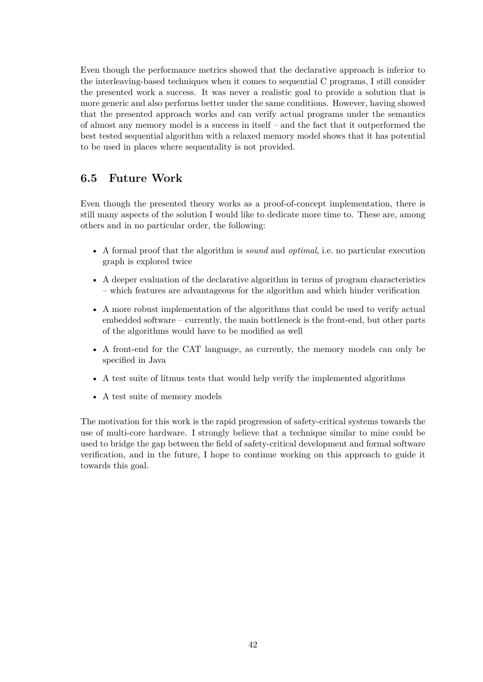Even though the performance metrics showed that the declarative approach is inferior to the interleaving-based techniques when it comes to sequential C programs, I still consider the presented work a success. It was never a realistic goal to provide a solution that is more generic and also performs better under the same conditions. However, having showed that the presented approach works and can verify actual programs under the semantics of almost any memory model is a success in itself – and the fact that it outperformed the best tested sequential algorithm with a relaxed memory model shows that it has potential to be used in places where sequentality is not provided.

## **6.5 Future Work**

Even though the presented theory works as a proof-of-concept implementation, there is still many aspects of the solution I would like to dedicate more time to. These are, among others and in no particular order, the following:

- A formal proof that the algorithm is *sound* and *optimal*, i.e. no particular execution graph is explored twice
- A deeper evaluation of the declarative algorithm in terms of program characteristics – which features are advantageous for the algorithm and which hinder verification
- A more robust implementation of the algorithms that could be used to verify actual embedded software – currently, the main bottleneck is the front-end, but other parts of the algorithms would have to be modified as well
- A front-end for the CAT language, as currently, the memory models can only be specified in Java
- A test suite of litmus tests that would help verify the implemented algorithms
- A test suite of memory models

The motivation for this work is the rapid progression of safety-critical systems towards the use of multi-core hardware. I strongly believe that a technique similar to mine could be used to bridge the gap between the field of safety-critical development and formal software verification, and in the future, I hope to continue working on this approach to guide it towards this goal.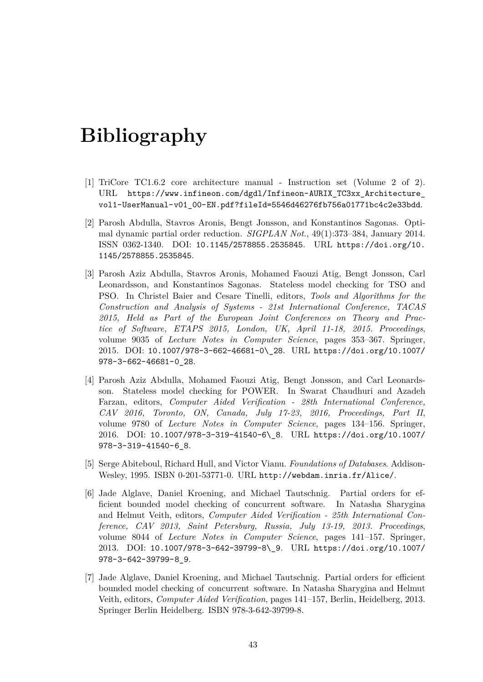# **Bibliography**

- [1] TriCore TC1.6.2 core architecture manual Instruction set (Volume 2 of 2). URL https://www.infineon.com/dgdl/Infineon-AURIX\_TC3xx\_Architecture\_ vol1-UserManual-v01\_00-EN.pdf?fileId=5546d46276fb756a01771bc4c2e33bdd.
- <span id="page-47-0"></span>[2] Parosh Abdulla, Stavros Aronis, Bengt Jonsson, and Konstantinos Sagonas. Optimal dynamic partial order reduction. *SIGPLAN Not.*[, 49\(1\):373–384, January 2014.](https://www.infineon.com/dgdl/Infineon-AURIX_TC3xx_Architecture_vol1-UserManual-v01_00-EN.pdf?fileId=5546d46276fb756a01771bc4c2e33bdd) ISSN 0362-1340. DOI: [10.1145/2578855.2535845](https://www.infineon.com/dgdl/Infineon-AURIX_TC3xx_Architecture_vol1-UserManual-v01_00-EN.pdf?fileId=5546d46276fb756a01771bc4c2e33bdd). URL https://doi.org/10. 1145/2578855.2535845.
- <span id="page-47-2"></span>[3] Parosh Aziz Abdulla, Stavros Aronis, Mohamed Faouzi Atig, Bengt Jonsson, Carl Leonardsson, and Konst[antinos Sagonas. Stateless](http://dx.doi.org/10.1145/2578855.2535845) model [checking for TSO and](https://doi.org/10.1145/2578855.2535845) [PSO. In Christel Baier](https://doi.org/10.1145/2578855.2535845) and Cesare Tinelli, editors, *Tools and Algorithms for the Construction and Analysis of Systems - 21st International Conference, TACAS 2015, Held as Part of the European Joint Conferences on Theory and Practice of Software, ETAPS 2015, London, UK, April 11-18, 2015. Proceedings*, volume 9035 of *Lecture Notes in Computer Science*, pages 353–367. Springer, 2015. DOI: 10.1007/978-3-662-46681-0\\_28. URL https://doi.org/10.1007/ 978-3-662-46681-0\_28.
- [4] Parosh Aziz Abdulla, Mohamed Faouzi Atig, Bengt Jonsson, and Carl Leonardsson. Statel[ess model checking for POWER.](http://dx.doi.org/10.1007/978-3-662-46681-0\_28) In Sw[arat Chaudhuri and Azadeh](https://doi.org/10.1007/978-3-662-46681-0_28) [Farzan, editors,](https://doi.org/10.1007/978-3-662-46681-0_28) *Computer Aided Verification - 28th International Conference, CAV 2016, Toronto, ON, Canada, July 17-23, 2016, Proceedings, Part II*, volume 9780 of *Lecture Notes in Computer Science*, pages 134–156. Springer, 2016. DOI: 10.1007/978-3-319-41540-6\\_8. URL https://doi.org/10.1007/ 978-3-319-41540-6\_8.
- [5] Serge Abiteboul, Richard Hull, and Victor Vianu. *Foundations of Databases*. Addison-Wesley, 1995[. ISBN 0-201-53771-0. URL](http://dx.doi.org/10.1007/978-3-319-41540-6\_8) http://webd[am.inria.fr/Alice/](https://doi.org/10.1007/978-3-319-41540-6_8).
- <span id="page-47-3"></span>[6] [Jade Alglave, Daniel K](https://doi.org/10.1007/978-3-319-41540-6_8)roening, and Michael Tautschnig. Partial orders for efficient bounded model checking of concurrent software. In Natasha Sharygina and Helmut Veith, editors, *Computer Ai[ded Verification - 25th Internation](http://webdam.inria.fr/Alice/)al Conference, CAV 2013, Saint Petersburg, Russia, July 13-19, 2013. Proceedings*, volume 8044 of *Lecture Notes in Computer Science*, pages 141–157. Springer, 2013. DOI: 10.1007/978-3-642-39799-8\\_9. URL https://doi.org/10.1007/ 978-3-642-39799-8\_9.
- <span id="page-47-1"></span>[7] Jade Alglave, Daniel Kroening, and Michael Tautschnig. Partial orders for efficient bounded mo[del checking of concurrent softwar](http://dx.doi.org/10.1007/978-3-642-39799-8\_9)e. In N[atasha Sharygina and Helmut](https://doi.org/10.1007/978-3-642-39799-8_9) [Veith, editors,](https://doi.org/10.1007/978-3-642-39799-8_9) *Computer Aided Verification*, pages 141–157, Berlin, Heidelberg, 2013. Springer Berlin Heidelberg. ISBN 978-3-642-39799-8.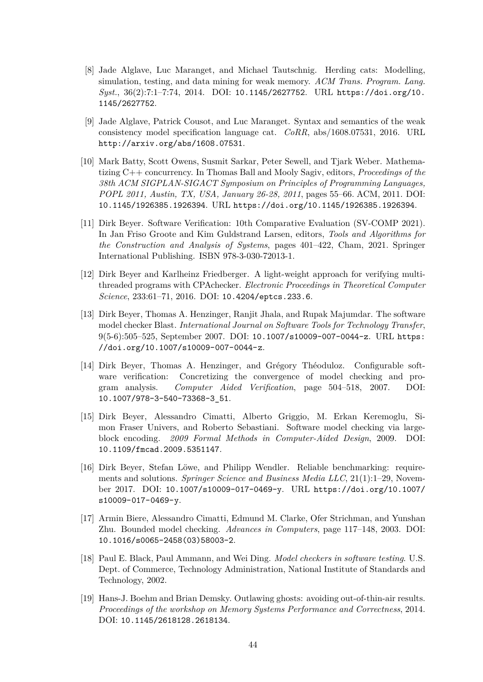- [8] Jade Alglave, Luc Maranget, and Michael Tautschnig. Herding cats: Modelling, simulation, testing, and data mining for weak memory. *ACM Trans. Program. Lang. Syst.*, 36(2):7:1–7:74, 2014. DOI: 10.1145/2627752. URL https://doi.org/10. 1145/2627752.
- <span id="page-48-6"></span>[9] Jade Alglave, Patrick Cousot, and Luc Maranget. Syntax and semantics of the weak consistency model specification la[nguage cat.](http://dx.doi.org/10.1145/2627752) *CoRR*, abs/1[608.07531, 2016. URL](https://doi.org/10.1145/2627752) [http://arxiv](https://doi.org/10.1145/2627752).org/abs/1608.07531.
- <span id="page-48-8"></span>[10] Mark Batty, Scott Owens, Susmit Sarkar, Peter Sewell, and Tjark Weber. Mathematizing C++ concurrency. In Thomas Ball and Mooly Sagiv, editors, *Proceedings of the [38th ACM SIGPLAN-SIGACT Sympo](http://arxiv.org/abs/1608.07531)sium on Principles of Programming Languages, POPL 2011, Austin, TX, USA, January 26-28, 2011*, pages 55–66. ACM, 2011. DOI: 10.1145/1926385.1926394. URL https://doi.org/10.1145/1926385.1926394.
- <span id="page-48-5"></span>[11] Dirk Beyer. Software Verification: 10th Comparative Evaluation (SV-COMP 2021). In Jan Friso Groote and Kim Guldstrand Larsen, editors, *Tools and Algorithms for [the Construction and Anal](http://dx.doi.org/10.1145/1926385.1926394)ysis of Systems*[, pages 401–422, Cham, 2021. Spring](https://doi.org/10.1145/1926385.1926394)er International Publishing. ISBN 978-3-030-72013-1.
- <span id="page-48-0"></span>[12] Dirk Beyer and Karlheinz Friedberger. A light-weight approach for verifying multithreaded programs with CPAchecker. *Electronic Proceedings in Theoretical Computer Science*, 233:61–71, 2016. DOI: 10.4204/eptcs.233.6.
- <span id="page-48-7"></span>[13] Dirk Beyer, Thomas A. Henzinger, Ranjit Jhala, and Rupak Majumdar. The software model checker Blast. *International Journal on Software Tools for Technology Transfer*, 9(5-6):505–525, September 2007. DOI: [10.1007/s1000](http://dx.doi.org/10.4204/eptcs.233.6)9-007-0044-z. URL https: //doi.org/10.1007/s10009-007-0044-z.
- <span id="page-48-3"></span>[14] Dirk Beyer, Thomas A. Henzinger, and Grégory Théoduloz. Configurable software verification: Concretizing the [convergence of model check](http://dx.doi.org/10.1007/s10009-007-0044-z)ing a[nd pro](https://doi.org/10.1007/s10009-007-0044-z)gram analysis. *[Computer Aided Veri](https://doi.org/10.1007/s10009-007-0044-z)fication*, page 504–518, 2007. DOI: 10.1007/978-3-540-73368-3\_51.
- [15] Dirk Beyer, Alessandro Cimatti, Alberto Griggio, M. Erkan Keremoglu, Simon Fraser Univers, and Roberto Sebastiani. Software model checking via large[block encoding.](http://dx.doi.org/10.1007/978-3-540-73368-3_51) *2009 Formal Methods in Computer-Aided Design*, 2009. DOI: 10.1109/fmcad.2009.5351147.
- <span id="page-48-4"></span>[16] Dirk Beyer, Stefan Löwe, and Philipp Wendler. Reliable benchmarking: requirements and solutions. *Springer Science and Business Media LLC*, 21(1):1–29, Novem[ber 2017. DOI:](http://dx.doi.org/10.1109/fmcad.2009.5351147) 10.1007/s10009-017-0469-y. URL https://doi.org/10.1007/ s10009-017-0469-y.
- <span id="page-48-9"></span>[17] Armin Biere, Alessandro Cimatti, Edmund M. Clarke, Ofer Strichman, and Yunshan Zhu. Bounded model checking. *[Advances in C](http://dx.doi.org/10.1007/s10009-017-0469-y)omputers*[, page 117–148, 2003. DOI:](https://doi.org/10.1007/s10009-017-0469-y) [10.1016/s0065-2458](https://doi.org/10.1007/s10009-017-0469-y)(03)58003-2.
- <span id="page-48-2"></span>[18] Paul E. Black, Paul Ammann, and Wei Ding. *Model checkers in software testing*. U.S. Dept. of Commerce, Technology Administration, National Institute of Standards and [Technology, 2002.](http://dx.doi.org/10.1016/s0065-2458(03)58003-2)
- <span id="page-48-1"></span>[19] Hans-J. Boehm and Brian Demsky. Outlawing ghosts: avoiding out-of-thin-air results. *Proceedings of the workshop on Memory Systems Performance and Correctness*, 2014. DOI: 10.1145/2618128.2618134.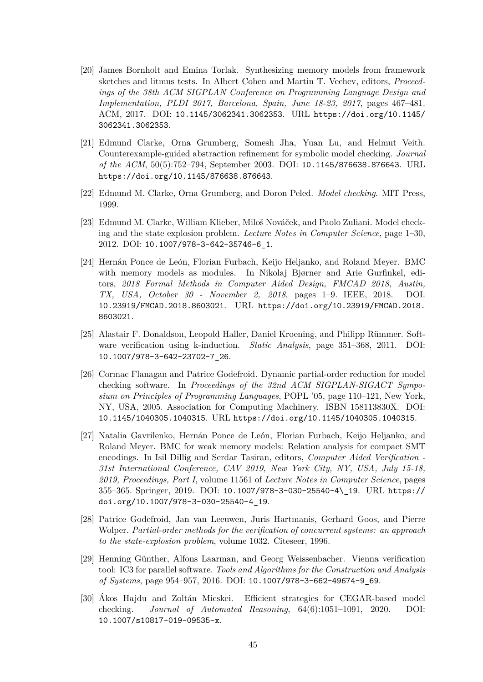- <span id="page-49-9"></span>[20] James Bornholt and Emina Torlak. Synthesizing memory models from framework sketches and litmus tests. In Albert Cohen and Martin T. Vechev, editors, *Proceedings of the 38th ACM SIGPLAN Conference on Programming Language Design and Implementation, PLDI 2017, Barcelona, Spain, June 18-23, 2017*, pages 467–481. ACM, 2017. DOI: 10.1145/3062341.3062353. URL https://doi.org/10.1145/ 3062341.3062353.
- [21] Edmund Clarke, Orna Grumberg, Somesh Jha, Yuan Lu, and Helmut Veith. Counterexample-gu[ided abstraction refinement f](http://dx.doi.org/10.1145/3062341.3062353)or sym[bolic model checking.](https://doi.org/10.1145/3062341.3062353) *Journal [of the ACM](https://doi.org/10.1145/3062341.3062353)*, 50(5):752–794, September 2003. DOI: 10.1145/876638.876643. URL https://doi.org/10.1145/876638.876643.
- <span id="page-49-0"></span>[22] Edmund M. Clarke, Orna Grumberg, and Doron Peled. *Model checking*. MIT Press, 1999.
- <span id="page-49-2"></span>[23] [Edmund M. Clarke, William Klieber, Miloš N](https://doi.org/10.1145/876638.876643)ováček, and Paolo Zuliani. Model checking and the state explosion problem. *Lecture Notes in Computer Science*, page 1–30, 2012. DOI: 10.1007/978-3-642-35746-6\_1.
- <span id="page-49-5"></span><span id="page-49-3"></span>[24] Hernán Ponce de León, Florian Furbach, Keijo Heljanko, and Roland Meyer. BMC with memory models as modules. In Nikolaj Bjørner and Arie Gurfinkel, editors, *2018 [Formal Methods in Computer](http://dx.doi.org/10.1007/978-3-642-35746-6_1) Aided Design, FMCAD 2018, Austin, TX, USA, October 30 - November 2, 2018*, pages 1–9. IEEE, 2018. DOI: 10.23919/FMCAD.2018.8603021. URL https://doi.org/10.23919/FMCAD.2018. 8603021.
- [25] Alastair F. Donaldson, Leopold Haller, Daniel Kroening, and Philipp Rümmer. Soft[ware verification using k-induct](http://dx.doi.org/10.23919/FMCAD.2018.8603021)ion. *Static Analysis*[, page 351–368, 2011. DOI:](https://doi.org/10.23919/FMCAD.2018.8603021) [10.1007/](https://doi.org/10.23919/FMCAD.2018.8603021)978-3-642-23702-7\_26.
- <span id="page-49-4"></span>[26] Cormac Flanagan and Patrice Godefroid. Dynamic partial-order reduction for model checking software. In *Proceedings of the 32nd ACM SIGPLAN-SIGACT Sympo[sium on Principles of Programmin](http://dx.doi.org/10.1007/978-3-642-23702-7_26)g Languages*, POPL '05, page 110–121, New York, NY, USA, 2005. Association for Computing Machinery. ISBN 158113830X. DOI: 10.1145/1040305.1040315. URL https://doi.org/10.1145/1040305.1040315.
- <span id="page-49-7"></span>[27] Natalia Gavrilenko, Hernán Ponce de León, Florian Furbach, Keijo Heljanko, and Roland Meyer. BMC for weak memory models: Relation analysis for compact SMT [encodings. In Isil Dillig and](http://dx.doi.org/10.1145/1040305.1040315) Serdar Tasiran, editors, *[Computer Aided Verification](https://doi.org/10.1145/1040305.1040315) - 31st International Conference, CAV 2019, New York City, NY, USA, July 15-18, 2019, Proceedings, Part I*, volume 11561 of *Lecture Notes in Computer Science*, pages 355–365. Springer, 2019. DOI: 10.1007/978-3-030-25540-4\\_19. URL https:// doi.org/10.1007/978-3-030-25540-4\_19.
- [28] Patrice Godefroid, Jan van Leeuwen, Juris Hartmanis, Gerhard Goos, and Pierre Wolper. *Partial-order methods f[or the verification of concurrent syst](http://dx.doi.org/10.1007/978-3-030-25540-4\_19)ems: a[n approach](https://doi.org/10.1007/978-3-030-25540-4_19) [to the state-explosion problem](https://doi.org/10.1007/978-3-030-25540-4_19)*, volume 1032. Citeseer, 1996.
- <span id="page-49-6"></span>[29] Henning Günther, Alfons Laarman, and Georg Weissenbacher. Vienna verification tool: IC3 for parallel software. *Tools and Algorithms for the Construction and Analysis of Systems*, page 954–957, 2016. DOI: 10.1007/978-3-662-49674-9\_69.
- <span id="page-49-8"></span><span id="page-49-1"></span>[30] Ákos Hajdu and Zoltán Micskei. Efficient strategies for CEGAR-based model checking. *Journal of Automated Reasoning*, 64(6):1051–1091, 2020. DOI: 10.1007/s10817-019-09535-x.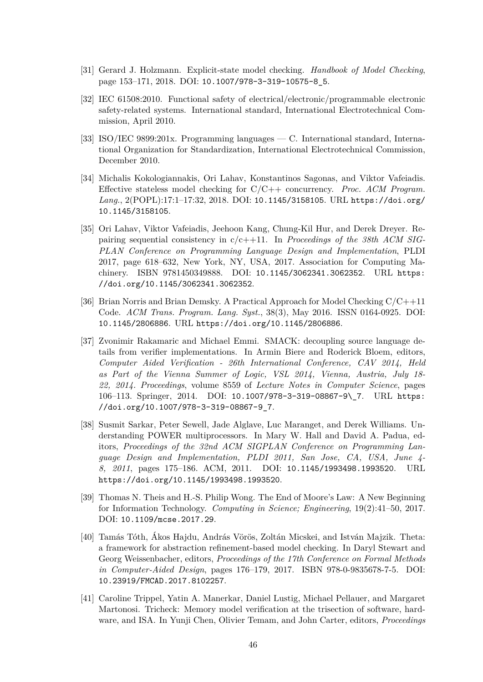- [31] Gerard J. Holzmann. Explicit-state model checking. *Handbook of Model Checking*, page 153–171, 2018. DOI: 10.1007/978-3-319-10575-8\_5.
- <span id="page-50-4"></span>[32] IEC 61508:2010. Functional safety of electrical/electronic/programmable electronic safety-related systems. International standard, International Electrotechnical Commission, April 2010.
- <span id="page-50-2"></span>[33] ISO/IEC 9899:201x. Programming languages — C. International standard, International Organization for Standardization, International Electrotechnical Commission, December 2010.
- <span id="page-50-3"></span>[34] Michalis Kokologiannakis, Ori Lahav, Konstantinos Sagonas, and Viktor Vafeiadis. Effective stateless model checking for C/C++ concurrency. *Proc. ACM Program. Lang.*, 2(POPL):17:1–17:32, 2018. DOI: 10.1145/3158105. URL https://doi.org/ 10.1145/3158105.
- <span id="page-50-7"></span><span id="page-50-6"></span>[35] Ori Lahav, Viktor Vafeiadis, Jeehoon Kang, Chung-Kil Hur, and Derek Dreyer. Repairing sequential consistency in c/c++11. In *[Proceeding](http://dx.doi.org/10.1145/3158105)s of t[he 38th ACM SIG-](https://doi.org/10.1145/3158105)[PLAN Conference](https://doi.org/10.1145/3158105) on Programming Language Design and Implementation*, PLDI 2017, page 618–632, New York, NY, USA, 2017. Association for Computing Machinery. ISBN 9781450349888. DOI: 10.1145/3062341.3062352. URL https: //doi.org/10.1145/3062341.3062352.
- [36] Brian Norris and Brian Demsky. A Practical Approach for Model Checking C/C++11 Code. *ACM Trans. Program. Lang. Syst.*[, 38\(3\), May 2016. ISSN 0](http://dx.doi.org/10.1145/3062341.3062352)164-092[5. DOI:](https://doi.org/10.1145/3062341.3062352) [10.1145/2806886](https://doi.org/10.1145/3062341.3062352). URL https://doi.org/10.1145/2806886.
- <span id="page-50-9"></span>[37] Zvonimir Rakamaric and Michael Emmi. SMACK: decoupling source language details from verifier implementations. In Armin Biere and Roderick Bloem, editors, *[Computer Aided](http://dx.doi.org/10.1145/2806886) Verific[ation - 26th International Conferen](https://doi.org/10.1145/2806886)ce, CAV 2014, Held as Part of the Vienna Summer of Logic, VSL 2014, Vienna, Austria, July 18- 22, 2014. Proceedings*, volume 8559 of *Lecture Notes in Computer Science*, pages 106–113. Springer, 2014. DOI: 10.1007/978-3-319-08867-9\\_7. URL https: //doi.org/10.1007/978-3-319-08867-9\_7.
- <span id="page-50-5"></span>[38] Susmit Sarkar, Peter Sewell, Jade Alglave, Luc Maranget, and Derek Williams. Understanding POWER multiproces[sors. In Mary W. Hall and David](http://dx.doi.org/10.1007/978-3-319-08867-9\_7) A. Pa[dua, ed](https://doi.org/10.1007/978-3-319-08867-9_7)itors, *[Proceedings of the 32nd ACM SIGPL](https://doi.org/10.1007/978-3-319-08867-9_7)AN Conference on Programming Language Design and Implementation, PLDI 2011, San Jose, CA, USA, June 4- 8, 2011*, pages 175–186. ACM, 2011. DOI: 10.1145/1993498.1993520. URL https://doi.org/10.1145/1993498.1993520.
- [39] Thomas N. Theis and H.-S. Philip Wong. The End of Moore's Law: A New Beginning for Information Technology. *Computing in Scie[nce; Engineering](http://dx.doi.org/10.1145/1993498.1993520)*, 19(2):41–50, 2017. DOI: [10.1109/mcse.2017.29](https://doi.org/10.1145/1993498.1993520).
- <span id="page-50-0"></span>[40] Tamás Tóth, Ákos Hajdu, András Vörös, Zoltán Micskei, and István Majzik. Theta: a framework for abstraction refinement-based model checking. In Daryl Stewart and Geor[g Weissenbacher, editors,](http://dx.doi.org/10.1109/mcse.2017.29) *Proceedings of the 17th Conference on Formal Methods in Computer-Aided Design*, pages 176–179, 2017. ISBN 978-0-9835678-7-5. DOI: 10.23919/FMCAD.2017.8102257.
- <span id="page-50-8"></span><span id="page-50-1"></span>[41] Caroline Trippel, Yatin A. Manerkar, Daniel Lustig, Michael Pellauer, and Margaret Martonosi. Tricheck: Memory model verification at the trisection of software, hard[ware, and ISA. In Yunji Chen, O](http://dx.doi.org/10.23919/FMCAD.2017.8102257)livier Temam, and John Carter, editors, *Proceedings*